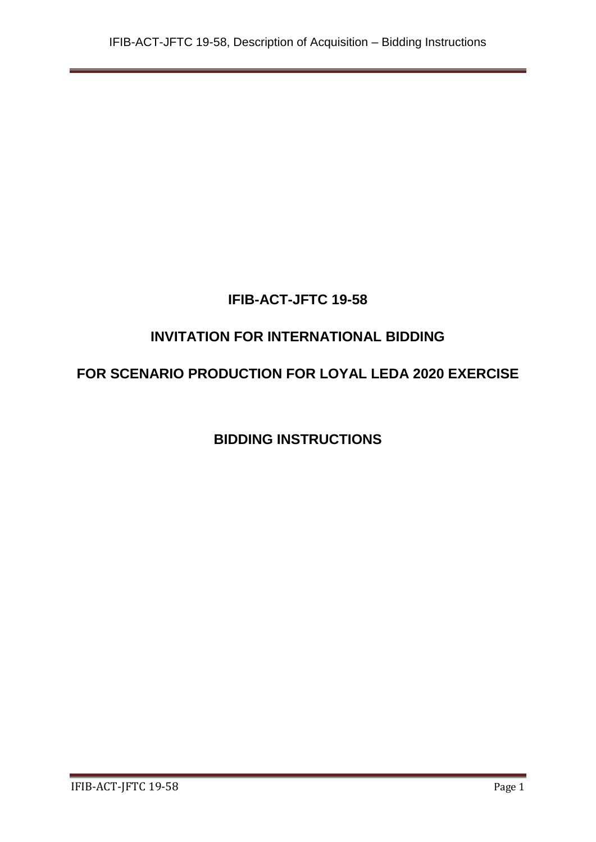# **IFIB-ACT-JFTC 19-58**

# **INVITATION FOR INTERNATIONAL BIDDING**

# **FOR SCENARIO PRODUCTION FOR LOYAL LEDA 2020 EXERCISE**

**BIDDING INSTRUCTIONS**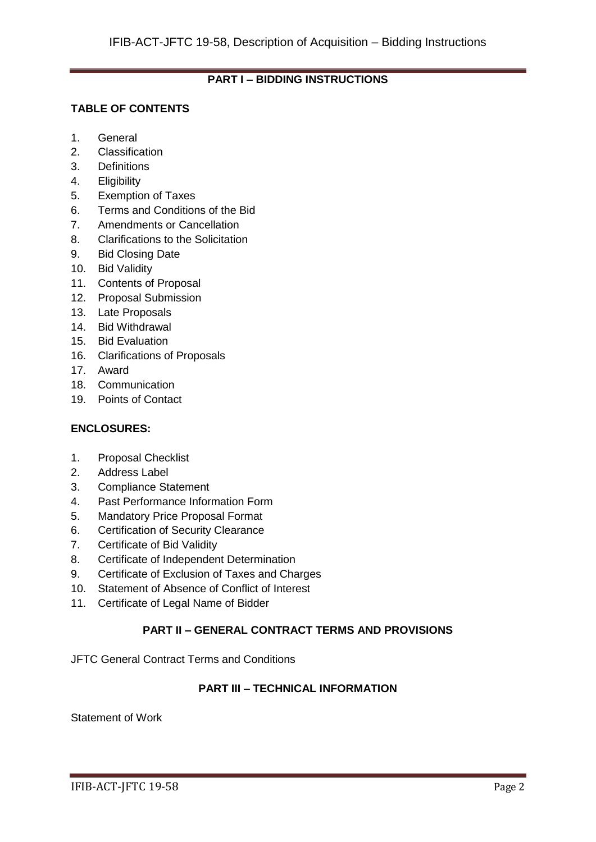# **PART I – BIDDING INSTRUCTIONS**

# **TABLE OF CONTENTS**

- 1. General
- 2. Classification
- 3. Definitions
- 4. Eligibility
- 5. Exemption of Taxes
- 6. Terms and Conditions of the Bid
- 7. Amendments or Cancellation
- 8. Clarifications to the Solicitation
- 9. Bid Closing Date
- 10. Bid Validity
- 11. Contents of Proposal
- 12. Proposal Submission
- 13. Late Proposals
- 14. Bid Withdrawal
- 15. Bid Evaluation
- 16. Clarifications of Proposals
- 17. Award
- 18. Communication
- 19. Points of Contact

# **ENCLOSURES:**

- 1. Proposal Checklist
- 2. Address Label
- 3. Compliance Statement
- 4. Past Performance Information Form
- 5. Mandatory Price Proposal Format
- 6. Certification of Security Clearance
- 7. Certificate of Bid Validity
- 8. Certificate of Independent Determination
- 9. Certificate of Exclusion of Taxes and Charges
- 10. Statement of Absence of Conflict of Interest
- 11. Certificate of Legal Name of Bidder

# **PART II – GENERAL CONTRACT TERMS AND PROVISIONS**

JFTC General Contract Terms and Conditions

### **PART III – TECHNICAL INFORMATION**

Statement of Work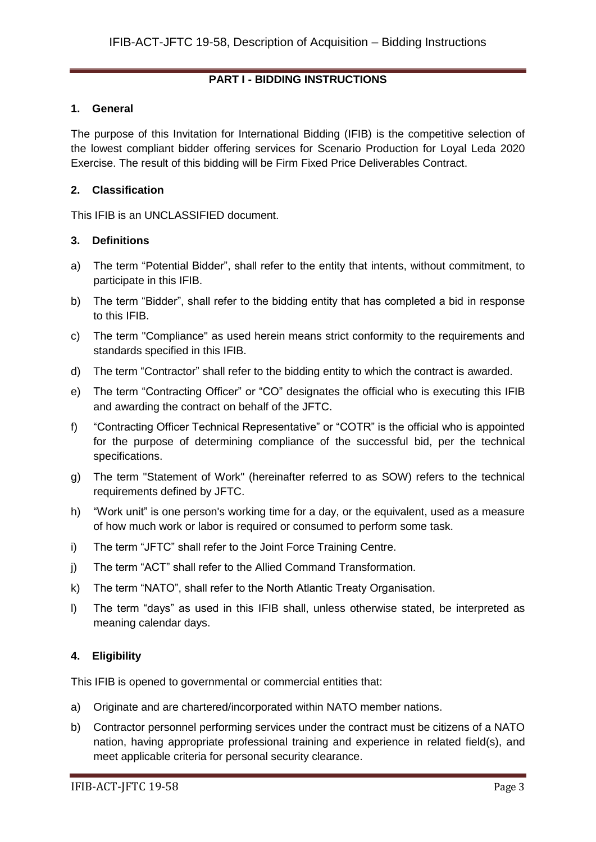# **PART I - BIDDING INSTRUCTIONS**

#### **1. General**

The purpose of this Invitation for International Bidding (IFIB) is the competitive selection of the lowest compliant bidder offering services for Scenario Production for Loyal Leda 2020 Exercise. The result of this bidding will be Firm Fixed Price Deliverables Contract.

### **2. Classification**

This IFIB is an UNCLASSIFIED document.

# **3. Definitions**

- a) The term "Potential Bidder", shall refer to the entity that intents, without commitment, to participate in this IFIB.
- b) The term "Bidder", shall refer to the bidding entity that has completed a bid in response to this IFIB.
- c) The term "Compliance" as used herein means strict conformity to the requirements and standards specified in this IFIB.
- d) The term "Contractor" shall refer to the bidding entity to which the contract is awarded.
- e) The term "Contracting Officer" or "CO" designates the official who is executing this IFIB and awarding the contract on behalf of the JFTC.
- f) "Contracting Officer Technical Representative" or "COTR" is the official who is appointed for the purpose of determining compliance of the successful bid, per the technical specifications.
- g) The term "Statement of Work" (hereinafter referred to as SOW) refers to the technical requirements defined by JFTC.
- h) "Work unit" is one person's working time for a day, or the equivalent, used as a measure of how much work or labor is required or consumed to perform some task.
- i) The term "JFTC" shall refer to the Joint Force Training Centre.
- j) The term "ACT" shall refer to the Allied Command Transformation.
- k) The term "NATO", shall refer to the North Atlantic Treaty Organisation.
- l) The term "days" as used in this IFIB shall, unless otherwise stated, be interpreted as meaning calendar days.

# **4. Eligibility**

This IFIB is opened to governmental or commercial entities that:

- a) Originate and are chartered/incorporated within NATO member nations.
- b) Contractor personnel performing services under the contract must be citizens of a NATO nation, having appropriate professional training and experience in related field(s), and meet applicable criteria for personal security clearance.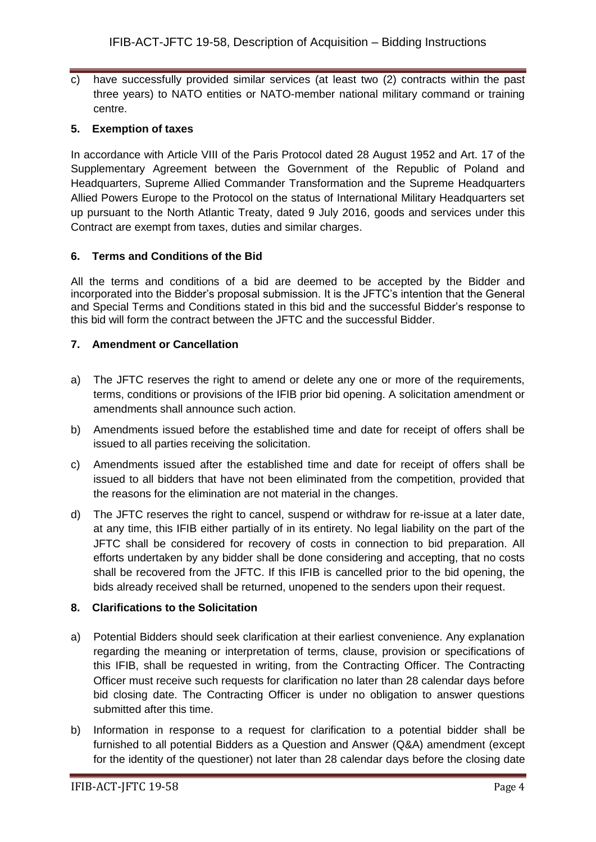c) have successfully provided similar services (at least two (2) contracts within the past three years) to NATO entities or NATO-member national military command or training centre.

# **5. Exemption of taxes**

In accordance with Article VIII of the Paris Protocol dated 28 August 1952 and Art. 17 of the Supplementary Agreement between the Government of the Republic of Poland and Headquarters, Supreme Allied Commander Transformation and the Supreme Headquarters Allied Powers Europe to the Protocol on the status of International Military Headquarters set up pursuant to the North Atlantic Treaty, dated 9 July 2016, goods and services under this Contract are exempt from taxes, duties and similar charges.

# **6. Terms and Conditions of the Bid**

All the terms and conditions of a bid are deemed to be accepted by the Bidder and incorporated into the Bidder's proposal submission. It is the JFTC's intention that the General and Special Terms and Conditions stated in this bid and the successful Bidder's response to this bid will form the contract between the JFTC and the successful Bidder.

# **7. Amendment or Cancellation**

- a) The JFTC reserves the right to amend or delete any one or more of the requirements, terms, conditions or provisions of the IFIB prior bid opening. A solicitation amendment or amendments shall announce such action.
- b) Amendments issued before the established time and date for receipt of offers shall be issued to all parties receiving the solicitation.
- c) Amendments issued after the established time and date for receipt of offers shall be issued to all bidders that have not been eliminated from the competition, provided that the reasons for the elimination are not material in the changes.
- d) The JFTC reserves the right to cancel, suspend or withdraw for re-issue at a later date, at any time, this IFIB either partially of in its entirety. No legal liability on the part of the JFTC shall be considered for recovery of costs in connection to bid preparation. All efforts undertaken by any bidder shall be done considering and accepting, that no costs shall be recovered from the JFTC. If this IFIB is cancelled prior to the bid opening, the bids already received shall be returned, unopened to the senders upon their request.

# **8. Clarifications to the Solicitation**

- a) Potential Bidders should seek clarification at their earliest convenience. Any explanation regarding the meaning or interpretation of terms, clause, provision or specifications of this IFIB, shall be requested in writing, from the Contracting Officer. The Contracting Officer must receive such requests for clarification no later than 28 calendar days before bid closing date. The Contracting Officer is under no obligation to answer questions submitted after this time.
- b) Information in response to a request for clarification to a potential bidder shall be furnished to all potential Bidders as a Question and Answer (Q&A) amendment (except for the identity of the questioner) not later than 28 calendar days before the closing date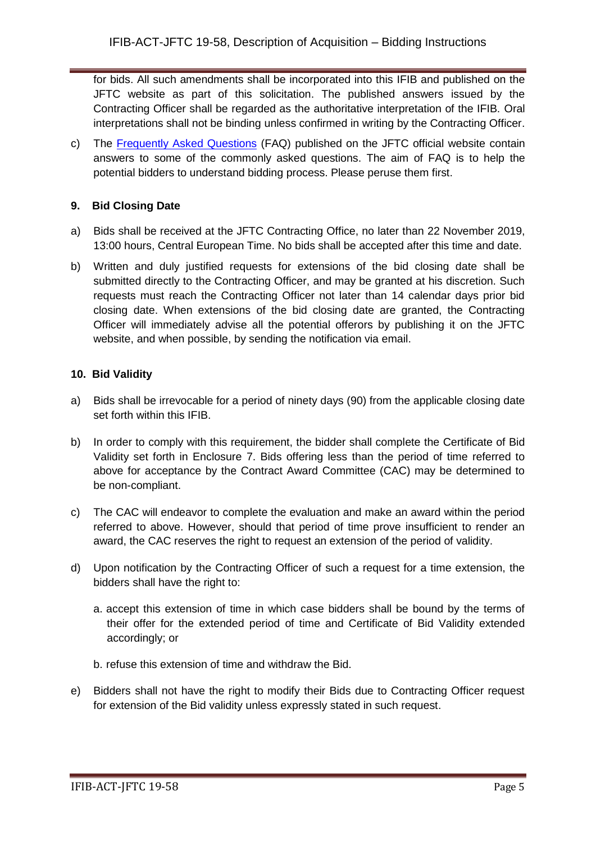for bids. All such amendments shall be incorporated into this IFIB and published on the JFTC website as part of this solicitation. The published answers issued by the Contracting Officer shall be regarded as the authoritative interpretation of the IFIB. Oral interpretations shall not be binding unless confirmed in writing by the Contracting Officer.

c) The [Frequently Asked Questions](http://www.jftc.nato.int/organization/contracting) (FAQ) published on the JFTC official website contain answers to some of the commonly asked questions. The aim of FAQ is to help the potential bidders to understand bidding process. Please peruse them first.

# **9. Bid Closing Date**

- a) Bids shall be received at the JFTC Contracting Office, no later than 22 November 2019, 13:00 hours, Central European Time. No bids shall be accepted after this time and date.
- b) Written and duly justified requests for extensions of the bid closing date shall be submitted directly to the Contracting Officer, and may be granted at his discretion. Such requests must reach the Contracting Officer not later than 14 calendar days prior bid closing date. When extensions of the bid closing date are granted, the Contracting Officer will immediately advise all the potential offerors by publishing it on the JFTC website, and when possible, by sending the notification via email.

# **10. Bid Validity**

- a) Bids shall be irrevocable for a period of ninety days (90) from the applicable closing date set forth within this IFIB.
- b) In order to comply with this requirement, the bidder shall complete the Certificate of Bid Validity set forth in Enclosure 7. Bids offering less than the period of time referred to above for acceptance by the Contract Award Committee (CAC) may be determined to be non-compliant.
- c) The CAC will endeavor to complete the evaluation and make an award within the period referred to above. However, should that period of time prove insufficient to render an award, the CAC reserves the right to request an extension of the period of validity.
- d) Upon notification by the Contracting Officer of such a request for a time extension, the bidders shall have the right to:
	- a. accept this extension of time in which case bidders shall be bound by the terms of their offer for the extended period of time and Certificate of Bid Validity extended accordingly; or
	- b. refuse this extension of time and withdraw the Bid.
- e) Bidders shall not have the right to modify their Bids due to Contracting Officer request for extension of the Bid validity unless expressly stated in such request.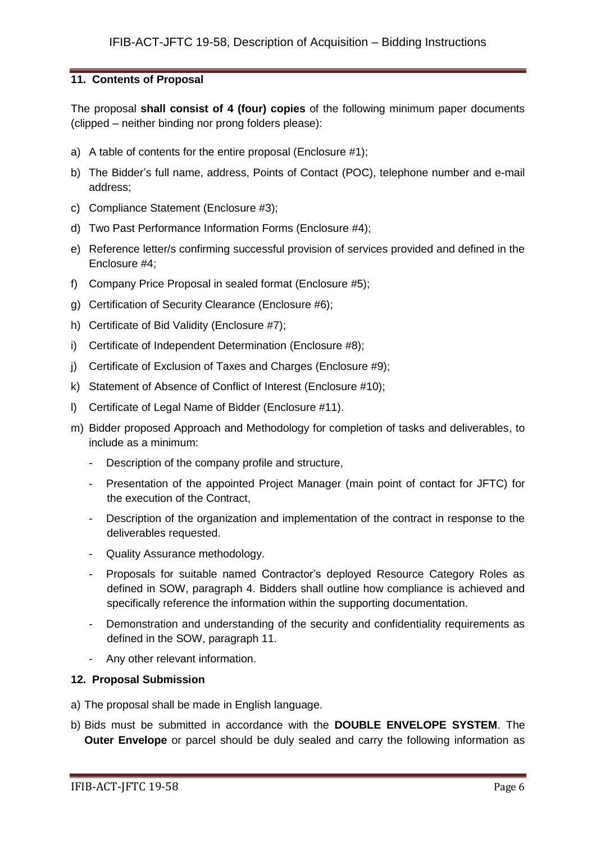# **11. Contents of Proposal**

The proposal **shall consist of 4 (four) copies** of the following minimum paper documents (clipped – neither binding nor prong folders please):

- a) A table of contents for the entire proposal (Enclosure #1);
- b) The Bidder's full name, address, Points of Contact (POC), telephone number and e-mail address;
- c) Compliance Statement (Enclosure #3);
- d) Two Past Performance Information Forms (Enclosure #4);
- e) Reference letter/s confirming successful provision of services provided and defined in the Enclosure #4;
- f) Company Price Proposal in sealed format (Enclosure #5);
- g) Certification of Security Clearance (Enclosure #6);
- h) Certificate of Bid Validity (Enclosure #7);
- i) Certificate of Independent Determination (Enclosure #8);
- j) Certificate of Exclusion of Taxes and Charges (Enclosure #9);
- k) Statement of Absence of Conflict of Interest (Enclosure #10);
- l) Certificate of Legal Name of Bidder (Enclosure #11).
- m) Bidder proposed Approach and Methodology for completion of tasks and deliverables, to include as a minimum:
	- Description of the company profile and structure,
	- Presentation of the appointed Project Manager (main point of contact for JFTC) for the execution of the Contract,
	- Description of the organization and implementation of the contract in response to the deliverables requested.
	- Quality Assurance methodology.
	- Proposals for suitable named Contractor's deployed Resource Category Roles as defined in SOW, paragraph 4. Bidders shall outline how compliance is achieved and specifically reference the information within the supporting documentation.
	- Demonstration and understanding of the security and confidentiality requirements as defined in the SOW, paragraph 11.
	- Any other relevant information.

#### **12. Proposal Submission**

- a) The proposal shall be made in English language.
- b) Bids must be submitted in accordance with the **DOUBLE ENVELOPE SYSTEM**. The **Outer Envelope** or parcel should be duly sealed and carry the following information as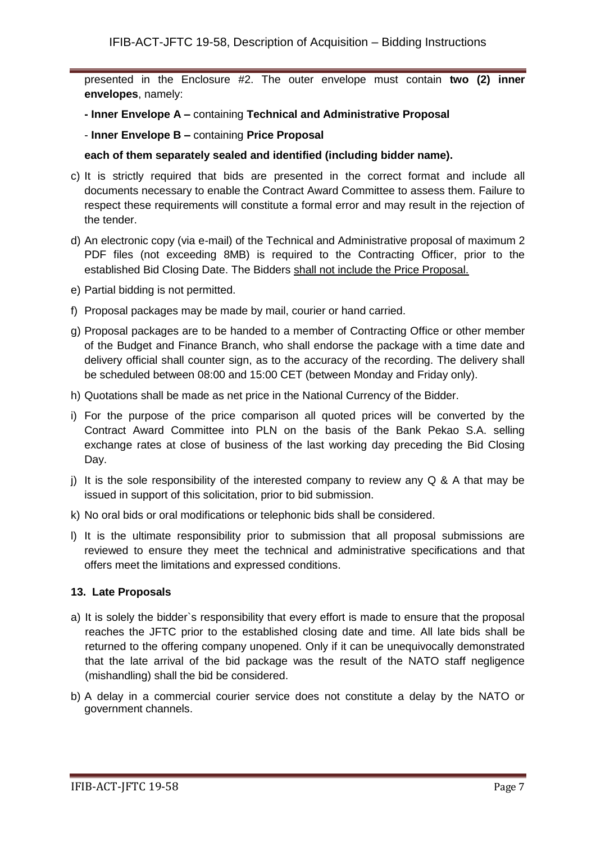presented in the Enclosure #2. The outer envelope must contain **two (2) inner envelopes**, namely:

- **- Inner Envelope A –** containing **Technical and Administrative Proposal**
- **Inner Envelope B –** containing **Price Proposal**

### **each of them separately sealed and identified (including bidder name).**

- c) It is strictly required that bids are presented in the correct format and include all documents necessary to enable the Contract Award Committee to assess them. Failure to respect these requirements will constitute a formal error and may result in the rejection of the tender.
- d) An electronic copy (via e-mail) of the Technical and Administrative proposal of maximum 2 PDF files (not exceeding 8MB) is required to the Contracting Officer, prior to the established Bid Closing Date. The Bidders shall not include the Price Proposal.
- e) Partial bidding is not permitted.
- f) Proposal packages may be made by mail, courier or hand carried.
- g) Proposal packages are to be handed to a member of Contracting Office or other member of the Budget and Finance Branch, who shall endorse the package with a time date and delivery official shall counter sign, as to the accuracy of the recording. The delivery shall be scheduled between 08:00 and 15:00 CET (between Monday and Friday only).
- h) Quotations shall be made as net price in the National Currency of the Bidder.
- i) For the purpose of the price comparison all quoted prices will be converted by the Contract Award Committee into PLN on the basis of the Bank Pekao S.A. selling exchange rates at close of business of the last working day preceding the Bid Closing Day.
- i) It is the sole responsibility of the interested company to review any  $Q \& A$  that may be issued in support of this solicitation, prior to bid submission.
- k) No oral bids or oral modifications or telephonic bids shall be considered.
- l) It is the ultimate responsibility prior to submission that all proposal submissions are reviewed to ensure they meet the technical and administrative specifications and that offers meet the limitations and expressed conditions.

# **13. Late Proposals**

- a) It is solely the bidder`s responsibility that every effort is made to ensure that the proposal reaches the JFTC prior to the established closing date and time. All late bids shall be returned to the offering company unopened. Only if it can be unequivocally demonstrated that the late arrival of the bid package was the result of the NATO staff negligence (mishandling) shall the bid be considered.
- b) A delay in a commercial courier service does not constitute a delay by the NATO or government channels.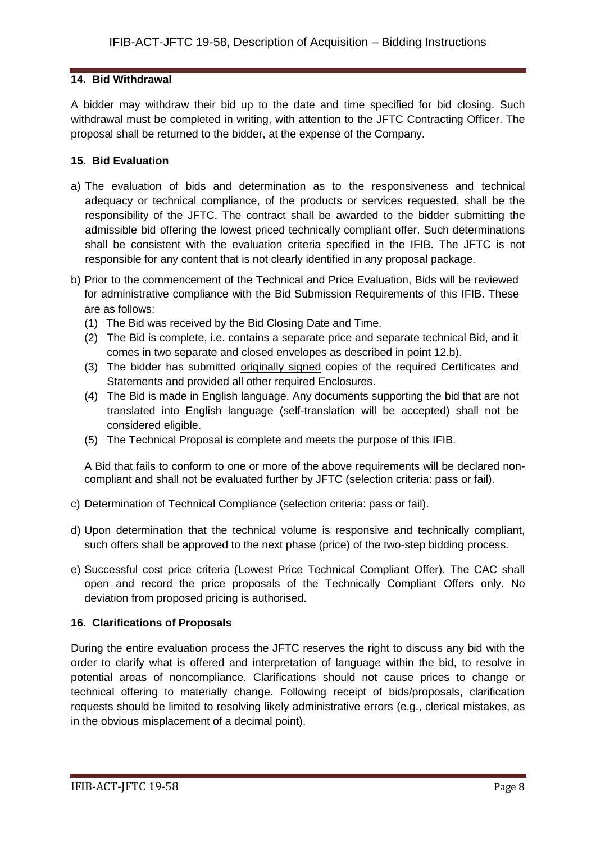### **14. Bid Withdrawal**

A bidder may withdraw their bid up to the date and time specified for bid closing. Such withdrawal must be completed in writing, with attention to the JFTC Contracting Officer. The proposal shall be returned to the bidder, at the expense of the Company.

### **15. Bid Evaluation**

- a) The evaluation of bids and determination as to the responsiveness and technical adequacy or technical compliance, of the products or services requested, shall be the responsibility of the JFTC. The contract shall be awarded to the bidder submitting the admissible bid offering the lowest priced technically compliant offer. Such determinations shall be consistent with the evaluation criteria specified in the IFIB. The JFTC is not responsible for any content that is not clearly identified in any proposal package.
- b) Prior to the commencement of the Technical and Price Evaluation, Bids will be reviewed for administrative compliance with the Bid Submission Requirements of this IFIB. These are as follows:
	- (1) The Bid was received by the Bid Closing Date and Time.
	- (2) The Bid is complete, i.e. contains a separate price and separate technical Bid, and it comes in two separate and closed envelopes as described in point 12.b).
	- (3) The bidder has submitted originally signed copies of the required Certificates and Statements and provided all other required Enclosures.
	- (4) The Bid is made in English language. Any documents supporting the bid that are not translated into English language (self-translation will be accepted) shall not be considered eligible.
	- (5) The Technical Proposal is complete and meets the purpose of this IFIB.

A Bid that fails to conform to one or more of the above requirements will be declared noncompliant and shall not be evaluated further by JFTC (selection criteria: pass or fail).

- c) Determination of Technical Compliance (selection criteria: pass or fail).
- d) Upon determination that the technical volume is responsive and technically compliant, such offers shall be approved to the next phase (price) of the two-step bidding process.
- e) Successful cost price criteria (Lowest Price Technical Compliant Offer). The CAC shall open and record the price proposals of the Technically Compliant Offers only. No deviation from proposed pricing is authorised.

# **16. Clarifications of Proposals**

During the entire evaluation process the JFTC reserves the right to discuss any bid with the order to clarify what is offered and interpretation of language within the bid, to resolve in potential areas of noncompliance. Clarifications should not cause prices to change or technical offering to materially change. Following receipt of bids/proposals, clarification requests should be limited to resolving likely administrative errors (e.g., clerical mistakes, as in the obvious misplacement of a decimal point).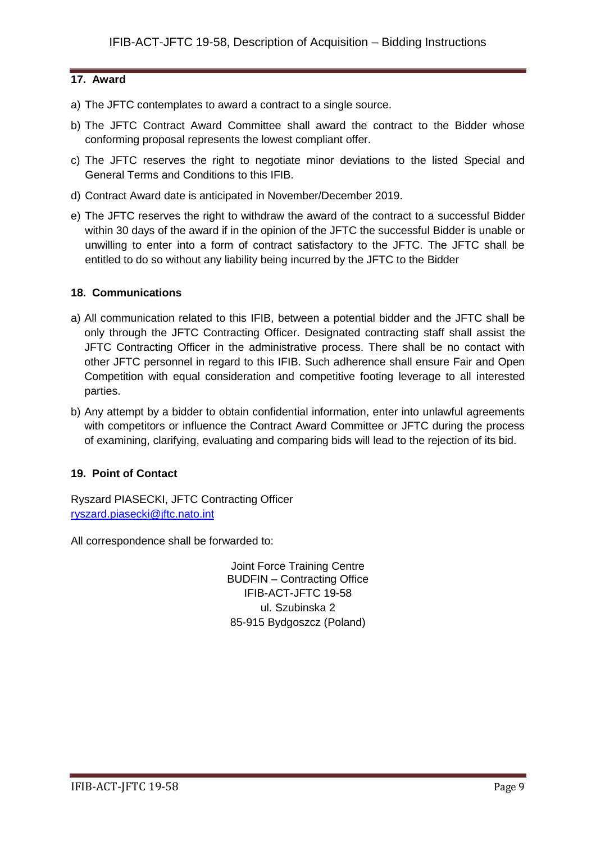# **17. Award**

- a) The JFTC contemplates to award a contract to a single source.
- b) The JFTC Contract Award Committee shall award the contract to the Bidder whose conforming proposal represents the lowest compliant offer.
- c) The JFTC reserves the right to negotiate minor deviations to the listed Special and General Terms and Conditions to this IFIB.
- d) Contract Award date is anticipated in November/December 2019.
- e) The JFTC reserves the right to withdraw the award of the contract to a successful Bidder within 30 days of the award if in the opinion of the JFTC the successful Bidder is unable or unwilling to enter into a form of contract satisfactory to the JFTC. The JFTC shall be entitled to do so without any liability being incurred by the JFTC to the Bidder

# **18. Communications**

- a) All communication related to this IFIB, between a potential bidder and the JFTC shall be only through the JFTC Contracting Officer. Designated contracting staff shall assist the JFTC Contracting Officer in the administrative process. There shall be no contact with other JFTC personnel in regard to this IFIB. Such adherence shall ensure Fair and Open Competition with equal consideration and competitive footing leverage to all interested parties.
- b) Any attempt by a bidder to obtain confidential information, enter into unlawful agreements with competitors or influence the Contract Award Committee or JFTC during the process of examining, clarifying, evaluating and comparing bids will lead to the rejection of its bid.

# **19. Point of Contact**

Ryszard PIASECKI, JFTC Contracting Officer [ryszard.piasecki@jftc.nato.int](mailto:ryszard.piasecki@jftc.nato.int)

All correspondence shall be forwarded to:

Joint Force Training Centre BUDFIN – Contracting Office IFIB-ACT-JFTC 19-58 ul. Szubinska 2 85-915 Bydgoszcz (Poland)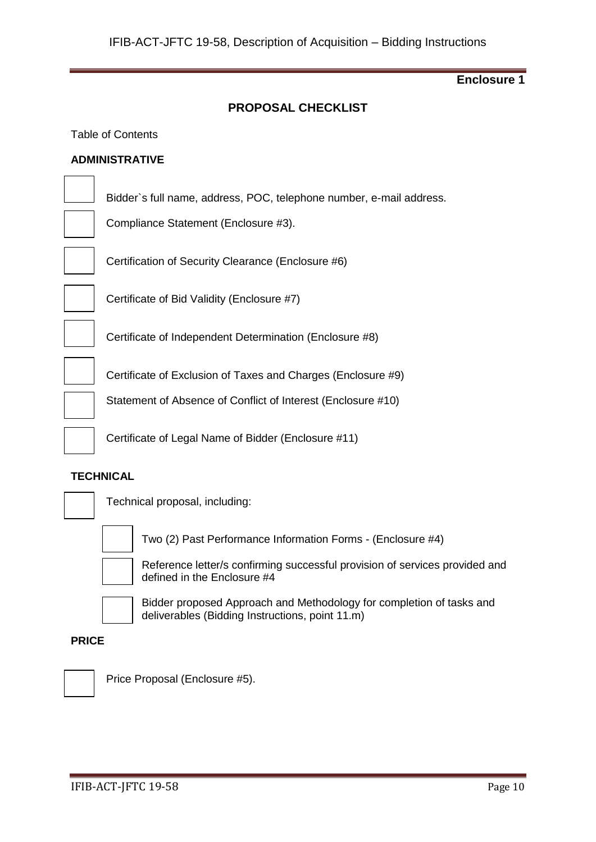# **PROPOSAL CHECKLIST**

#### Table of Contents

#### **ADMINISTRATIVE**

Bidder`s full name, address, POC, telephone number, e-mail address.

Compliance Statement (Enclosure #3).

Certification of Security Clearance (Enclosure #6)



Certificate of Bid Validity (Enclosure #7)

Certificate of Independent Determination (Enclosure #8)

Certificate of Exclusion of Taxes and Charges (Enclosure #9)

Statement of Absence of Conflict of Interest (Enclosure #10)

Certificate of Legal Name of Bidder (Enclosure #11)

#### **TECHNICAL**



Technical proposal, including:



Two (2) Past Performance Information Forms - (Enclosure #4)



Reference letter/s confirming successful provision of services provided and defined in the Enclosure #4



Bidder proposed Approach and Methodology for completion of tasks and deliverables (Bidding Instructions, point 11.m)

#### **PRICE**



Price Proposal (Enclosure #5).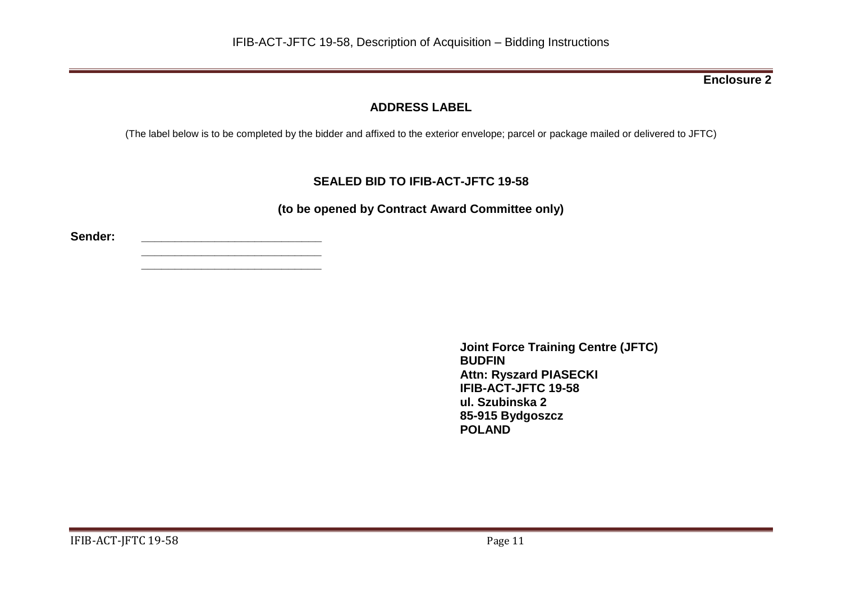# **ADDRESS LABEL**

(The label below is to be completed by the bidder and affixed to the exterior envelope; parcel or package mailed or delivered to JFTC)

# **SEALED BID TO IFIB-ACT-JFTC 19-58**

**(to be opened by Contract Award Committee only)**

**Sender: \_\_\_\_\_\_\_\_\_\_\_\_\_\_\_\_\_\_\_\_\_\_\_\_\_\_\_**

**\_\_\_\_\_\_\_\_\_\_\_\_\_\_\_\_\_\_\_\_\_\_\_\_\_\_\_ \_\_\_\_\_\_\_\_\_\_\_\_\_\_\_\_\_\_\_\_\_\_\_\_\_\_\_**

> **Joint Force Training Centre (JFTC) BUDFIN Attn: Ryszard PIASECKI IFIB-ACT-JFTC 19-58 ul. Szubinska 2 85-915 Bydgoszcz POLAND**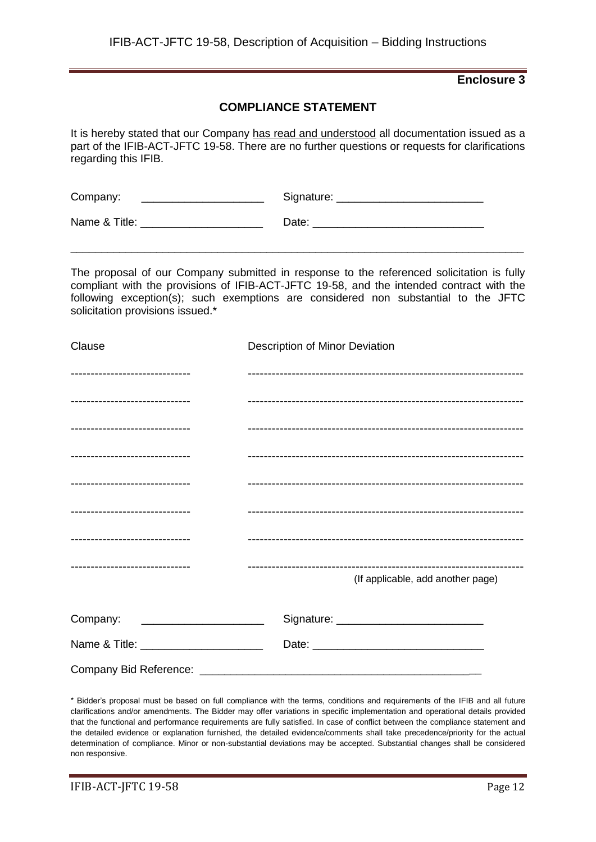### **COMPLIANCE STATEMENT**

It is hereby stated that our Company has read and understood all documentation issued as a part of the IFIB-ACT-JFTC 19-58. There are no further questions or requests for clarifications regarding this IFIB.

| Company:      | Signature: |
|---------------|------------|
| Name & Title: | Date:      |

The proposal of our Company submitted in response to the referenced solicitation is fully compliant with the provisions of IFIB-ACT-JFTC 19-58, and the intended contract with the following exception(s); such exemptions are considered non substantial to the JFTC solicitation provisions issued.\*

\_\_\_\_\_\_\_\_\_\_\_\_\_\_\_\_\_\_\_\_\_\_\_\_\_\_\_\_\_\_\_\_\_\_\_\_\_\_\_\_\_\_\_\_\_\_\_\_\_\_\_\_\_\_\_\_\_\_\_\_\_\_\_\_\_\_\_\_\_\_\_\_\_\_

| Clause                          | Description of Minor Deviation    |
|---------------------------------|-----------------------------------|
| ------------------------------- |                                   |
| ------------------------------- |                                   |
| ------------------------------- |                                   |
| ------------------------------- |                                   |
| ------------------------------- |                                   |
| ------------------------------- |                                   |
| ------------------------------- |                                   |
| ------------------------------- |                                   |
|                                 | (If applicable, add another page) |
| Company:                        |                                   |
|                                 |                                   |
|                                 |                                   |

\* Bidder's proposal must be based on full compliance with the terms, conditions and requirements of the IFIB and all future clarifications and/or amendments. The Bidder may offer variations in specific implementation and operational details provided that the functional and performance requirements are fully satisfied. In case of conflict between the compliance statement and the detailed evidence or explanation furnished, the detailed evidence/comments shall take precedence/priority for the actual determination of compliance. Minor or non-substantial deviations may be accepted. Substantial changes shall be considered non responsive.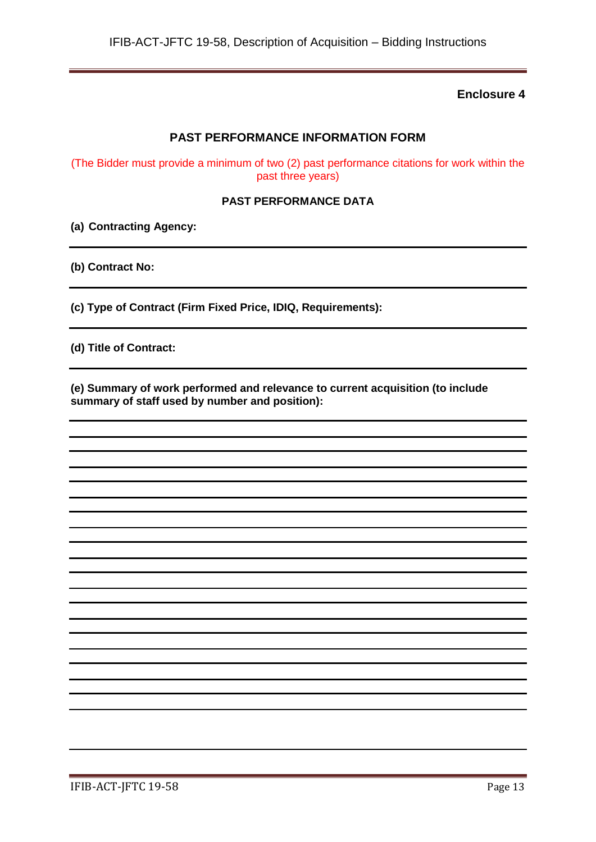# **PAST PERFORMANCE INFORMATION FORM**

(The Bidder must provide a minimum of two (2) past performance citations for work within the past three years)

#### **PAST PERFORMANCE DATA**

**(a) Contracting Agency:**

**(b) Contract No:**

**(c) Type of Contract (Firm Fixed Price, IDIQ, Requirements):**

**(d) Title of Contract:**

**(e) Summary of work performed and relevance to current acquisition (to include summary of staff used by number and position):**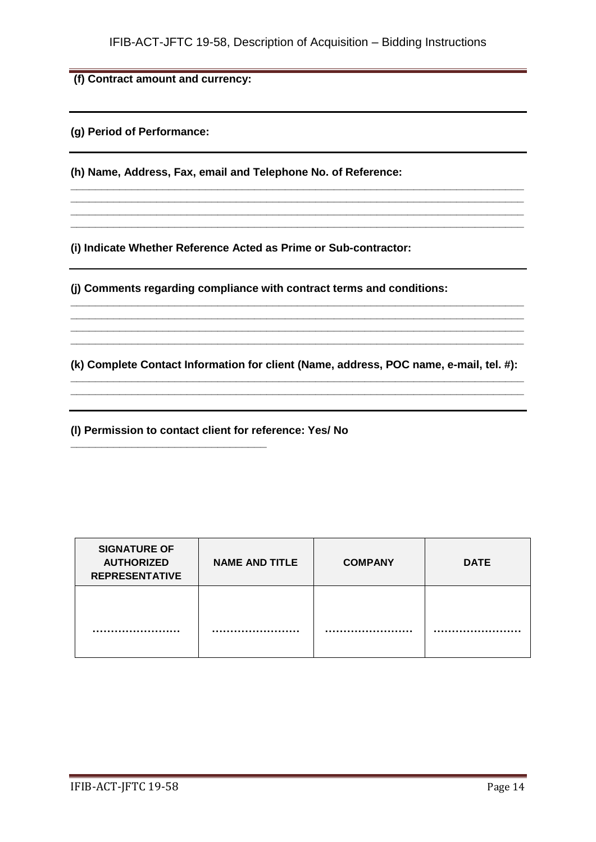**\_\_\_\_\_\_\_\_\_\_\_\_\_\_\_\_\_\_\_\_\_\_\_\_\_\_\_\_\_\_\_\_\_\_\_\_\_\_\_\_\_\_\_\_\_\_\_\_\_\_\_\_\_\_\_\_\_\_\_\_\_\_\_\_\_\_\_\_\_\_\_\_\_\_ \_\_\_\_\_\_\_\_\_\_\_\_\_\_\_\_\_\_\_\_\_\_\_\_\_\_\_\_\_\_\_\_\_\_\_\_\_\_\_\_\_\_\_\_\_\_\_\_\_\_\_\_\_\_\_\_\_\_\_\_\_\_\_\_\_\_\_\_\_\_\_\_\_\_ \_\_\_\_\_\_\_\_\_\_\_\_\_\_\_\_\_\_\_\_\_\_\_\_\_\_\_\_\_\_\_\_\_\_\_\_\_\_\_\_\_\_\_\_\_\_\_\_\_\_\_\_\_\_\_\_\_\_\_\_\_\_\_\_\_\_\_\_\_\_\_\_\_\_ \_\_\_\_\_\_\_\_\_\_\_\_\_\_\_\_\_\_\_\_\_\_\_\_\_\_\_\_\_\_\_\_\_\_\_\_\_\_\_\_\_\_\_\_\_\_\_\_\_\_\_\_\_\_\_\_\_\_\_\_\_\_\_\_\_\_\_\_\_\_\_\_\_\_**

**(f) Contract amount and currency:**

**(g) Period of Performance:**

**(h) Name, Address, Fax, email and Telephone No. of Reference:**

**(i) Indicate Whether Reference Acted as Prime or Sub-contractor:**

**(j) Comments regarding compliance with contract terms and conditions:**

**(k) Complete Contact Information for client (Name, address, POC name, e-mail, tel. #): \_\_\_\_\_\_\_\_\_\_\_\_\_\_\_\_\_\_\_\_\_\_\_\_\_\_\_\_\_\_\_\_\_\_\_\_\_\_\_\_\_\_\_\_\_\_\_\_\_\_\_\_\_\_\_\_\_\_\_\_\_\_\_\_\_\_\_\_\_\_\_\_\_\_**

**\_\_\_\_\_\_\_\_\_\_\_\_\_\_\_\_\_\_\_\_\_\_\_\_\_\_\_\_\_\_\_\_\_\_\_\_\_\_\_\_\_\_\_\_\_\_\_\_\_\_\_\_\_\_\_\_\_\_\_\_\_\_\_\_\_\_\_\_\_\_\_\_\_\_**

**\_\_\_\_\_\_\_\_\_\_\_\_\_\_\_\_\_\_\_\_\_\_\_\_\_\_\_\_\_\_\_\_\_\_\_\_\_\_\_\_\_\_\_\_\_\_\_\_\_\_\_\_\_\_\_\_\_\_\_\_\_\_\_\_\_\_\_\_\_\_\_\_\_\_ \_\_\_\_\_\_\_\_\_\_\_\_\_\_\_\_\_\_\_\_\_\_\_\_\_\_\_\_\_\_\_\_\_\_\_\_\_\_\_\_\_\_\_\_\_\_\_\_\_\_\_\_\_\_\_\_\_\_\_\_\_\_\_\_\_\_\_\_\_\_\_\_\_\_ \_\_\_\_\_\_\_\_\_\_\_\_\_\_\_\_\_\_\_\_\_\_\_\_\_\_\_\_\_\_\_\_\_\_\_\_\_\_\_\_\_\_\_\_\_\_\_\_\_\_\_\_\_\_\_\_\_\_\_\_\_\_\_\_\_\_\_\_\_\_\_\_\_\_ \_\_\_\_\_\_\_\_\_\_\_\_\_\_\_\_\_\_\_\_\_\_\_\_\_\_\_\_\_\_\_\_\_\_\_\_\_\_\_\_\_\_\_\_\_\_\_\_\_\_\_\_\_\_\_\_\_\_\_\_\_\_\_\_\_\_\_\_\_\_\_\_\_\_**

**(l) Permission to contact client for reference: Yes/ No**

**\_\_\_\_\_\_\_\_\_\_\_\_\_\_\_\_\_\_\_\_\_\_\_\_\_\_\_\_\_\_\_\_**

| <b>SIGNATURE OF</b><br><b>AUTHORIZED</b><br><b>REPRESENTATIVE</b> | <b>NAME AND TITLE</b> | <b>COMPANY</b> | <b>DATE</b> |
|-------------------------------------------------------------------|-----------------------|----------------|-------------|
|                                                                   |                       |                |             |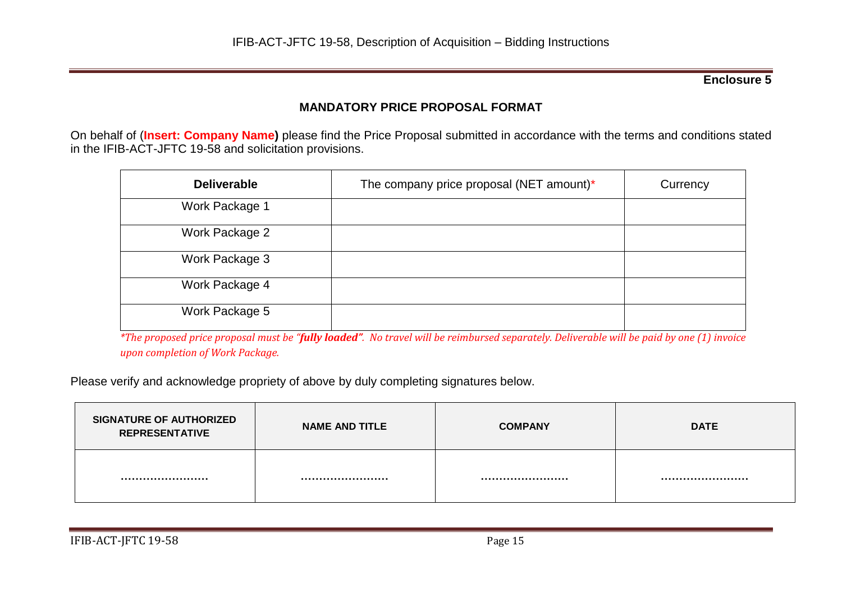# **MANDATORY PRICE PROPOSAL FORMAT**

On behalf of (**Insert: Company Name)** please find the Price Proposal submitted in accordance with the terms and conditions stated in the IFIB-ACT-JFTC 19-58 and solicitation provisions.

| <b>Deliverable</b> | The company price proposal (NET amount)* | Currency |
|--------------------|------------------------------------------|----------|
| Work Package 1     |                                          |          |
| Work Package 2     |                                          |          |
| Work Package 3     |                                          |          |
| Work Package 4     |                                          |          |
| Work Package 5     |                                          |          |

*\*The proposed price proposal must be "fully loaded". No travel will be reimbursed separately. Deliverable will be paid by one (1) invoice upon completion of Work Package.*

Please verify and acknowledge propriety of above by duly completing signatures below.

| <b>SIGNATURE OF AUTHORIZED</b><br><b>REPRESENTATIVE</b> | <b>NAME AND TITLE</b> | <b>COMPANY</b> | <b>DATE</b> |
|---------------------------------------------------------|-----------------------|----------------|-------------|
|                                                         |                       |                |             |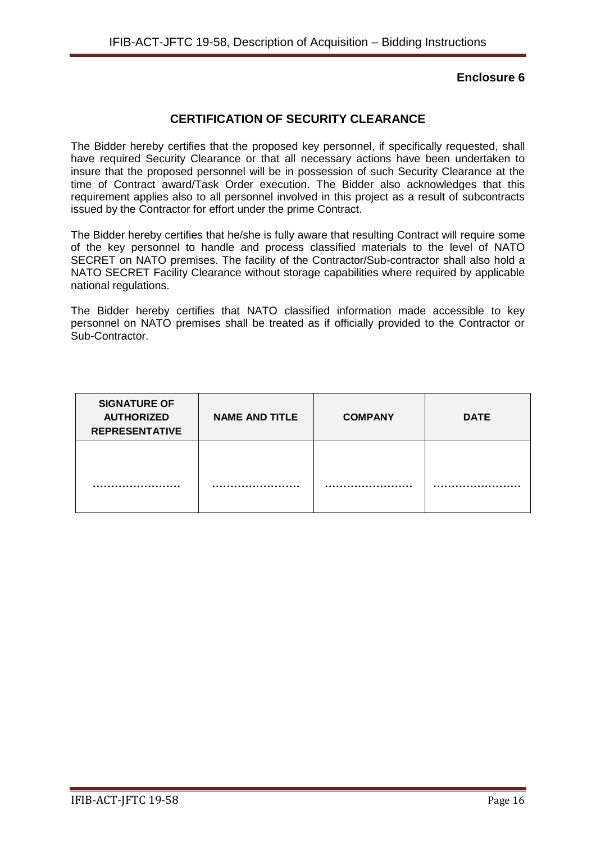# **CERTIFICATION OF SECURITY CLEARANCE**

The Bidder hereby certifies that the proposed key personnel, if specifically requested, shall have required Security Clearance or that all necessary actions have been undertaken to insure that the proposed personnel will be in possession of such Security Clearance at the time of Contract award/Task Order execution. The Bidder also acknowledges that this requirement applies also to all personnel involved in this project as a result of subcontracts issued by the Contractor for effort under the prime Contract.

The Bidder hereby certifies that he/she is fully aware that resulting Contract will require some of the key personnel to handle and process classified materials to the level of NATO SECRET on NATO premises. The facility of the Contractor/Sub-contractor shall also hold a NATO SECRET Facility Clearance without storage capabilities where required by applicable national regulations.

The Bidder hereby certifies that NATO classified information made accessible to key personnel on NATO premises shall be treated as if officially provided to the Contractor or Sub-Contractor.

| <b>SIGNATURE OF</b><br><b>AUTHORIZED</b><br><b>REPRESENTATIVE</b> | <b>NAME AND TITLE</b> | <b>COMPANY</b> | <b>DATE</b> |
|-------------------------------------------------------------------|-----------------------|----------------|-------------|
|                                                                   |                       |                |             |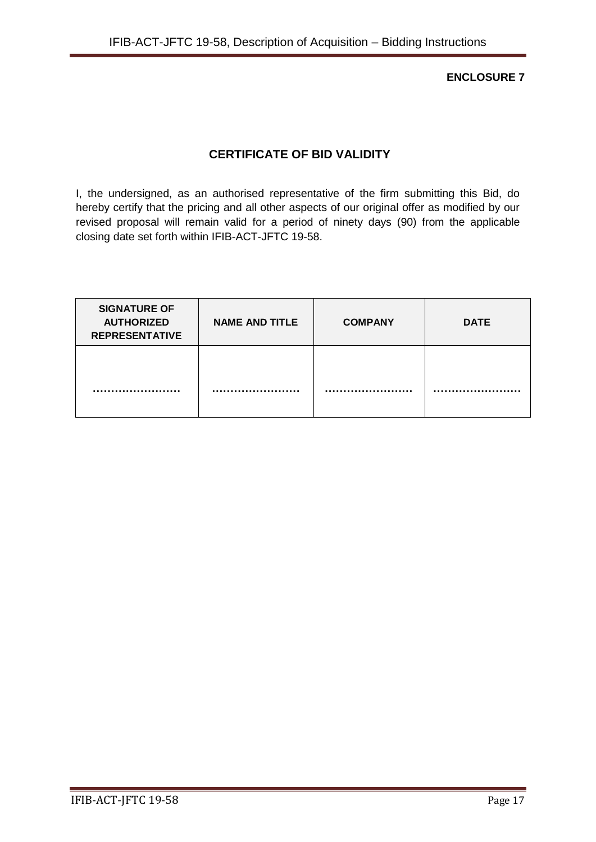**ENCLOSURE 7**

# **CERTIFICATE OF BID VALIDITY**

I, the undersigned, as an authorised representative of the firm submitting this Bid, do hereby certify that the pricing and all other aspects of our original offer as modified by our revised proposal will remain valid for a period of ninety days (90) from the applicable closing date set forth within IFIB-ACT-JFTC 19-58.

| <b>SIGNATURE OF</b><br><b>AUTHORIZED</b><br><b>REPRESENTATIVE</b> | <b>NAME AND TITLE</b> | <b>COMPANY</b> | <b>DATE</b> |
|-------------------------------------------------------------------|-----------------------|----------------|-------------|
|                                                                   |                       |                |             |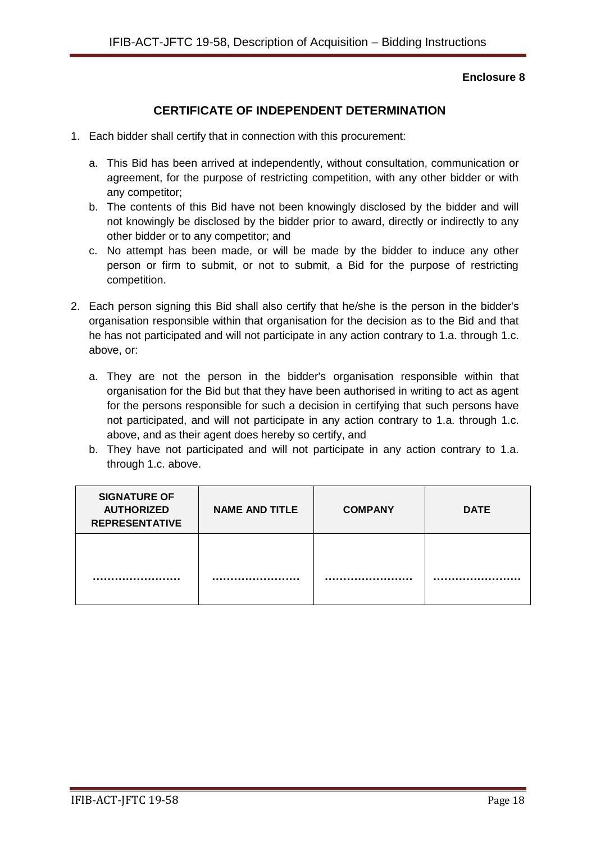# **CERTIFICATE OF INDEPENDENT DETERMINATION**

- 1. Each bidder shall certify that in connection with this procurement:
	- a. This Bid has been arrived at independently, without consultation, communication or agreement, for the purpose of restricting competition, with any other bidder or with any competitor;
	- b. The contents of this Bid have not been knowingly disclosed by the bidder and will not knowingly be disclosed by the bidder prior to award, directly or indirectly to any other bidder or to any competitor; and
	- c. No attempt has been made, or will be made by the bidder to induce any other person or firm to submit, or not to submit, a Bid for the purpose of restricting competition.
- 2. Each person signing this Bid shall also certify that he/she is the person in the bidder's organisation responsible within that organisation for the decision as to the Bid and that he has not participated and will not participate in any action contrary to 1.a. through 1.c. above, or:
	- a. They are not the person in the bidder's organisation responsible within that organisation for the Bid but that they have been authorised in writing to act as agent for the persons responsible for such a decision in certifying that such persons have not participated, and will not participate in any action contrary to 1.a. through 1.c. above, and as their agent does hereby so certify, and
	- b. They have not participated and will not participate in any action contrary to 1.a. through 1.c. above.

| <b>SIGNATURE OF</b><br><b>AUTHORIZED</b><br><b>REPRESENTATIVE</b> | <b>NAME AND TITLE</b> | <b>COMPANY</b> | <b>DATE</b> |
|-------------------------------------------------------------------|-----------------------|----------------|-------------|
|                                                                   |                       |                |             |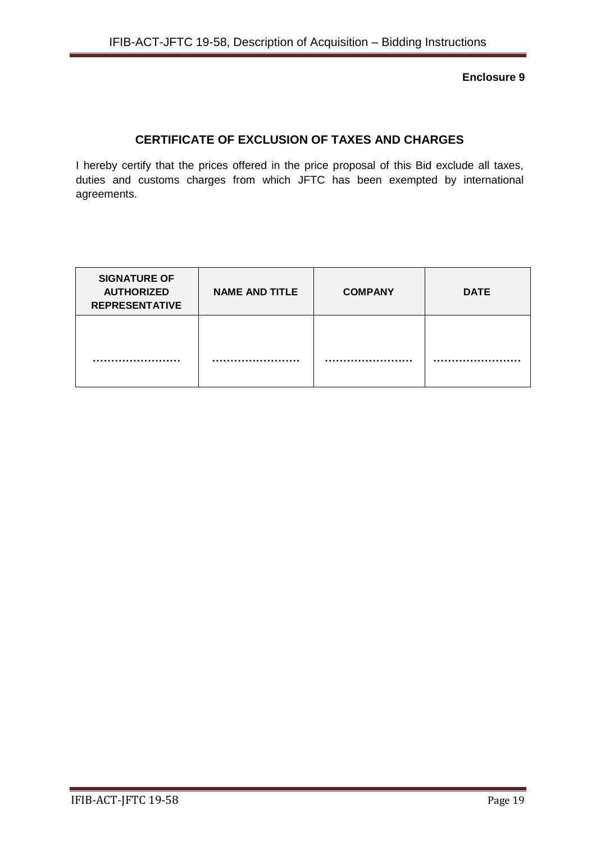# **CERTIFICATE OF EXCLUSION OF TAXES AND CHARGES**

I hereby certify that the prices offered in the price proposal of this Bid exclude all taxes, duties and customs charges from which JFTC has been exempted by international agreements.

| <b>SIGNATURE OF</b><br><b>AUTHORIZED</b><br><b>REPRESENTATIVE</b> | <b>NAME AND TITLE</b> | <b>COMPANY</b> | <b>DATE</b> |
|-------------------------------------------------------------------|-----------------------|----------------|-------------|
|                                                                   |                       |                |             |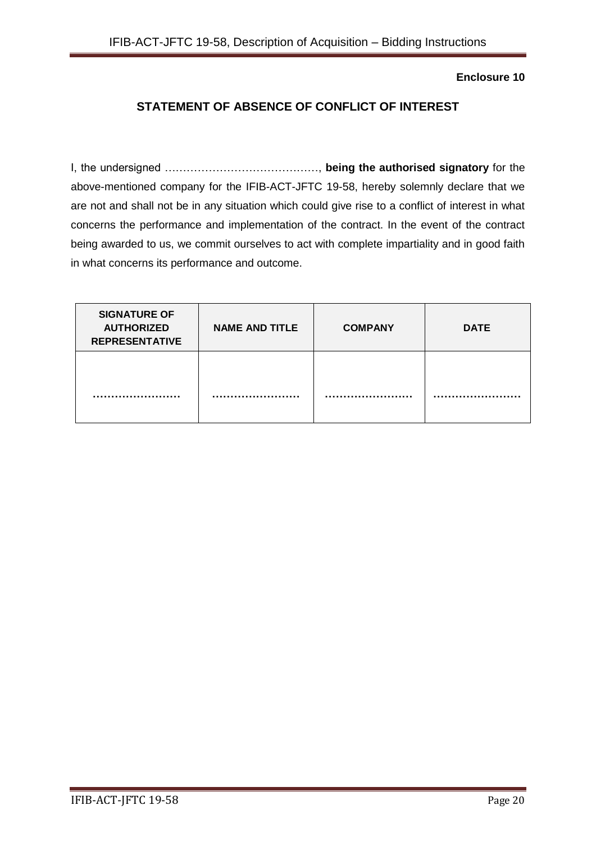# **STATEMENT OF ABSENCE OF CONFLICT OF INTEREST**

I, the undersigned ……………………………………, **being the authorised signatory** for the above-mentioned company for the IFIB-ACT-JFTC 19-58, hereby solemnly declare that we are not and shall not be in any situation which could give rise to a conflict of interest in what concerns the performance and implementation of the contract. In the event of the contract being awarded to us, we commit ourselves to act with complete impartiality and in good faith in what concerns its performance and outcome.

| <b>SIGNATURE OF</b><br><b>AUTHORIZED</b><br><b>REPRESENTATIVE</b> | <b>NAME AND TITLE</b> | <b>COMPANY</b> | <b>DATE</b> |
|-------------------------------------------------------------------|-----------------------|----------------|-------------|
|                                                                   |                       |                |             |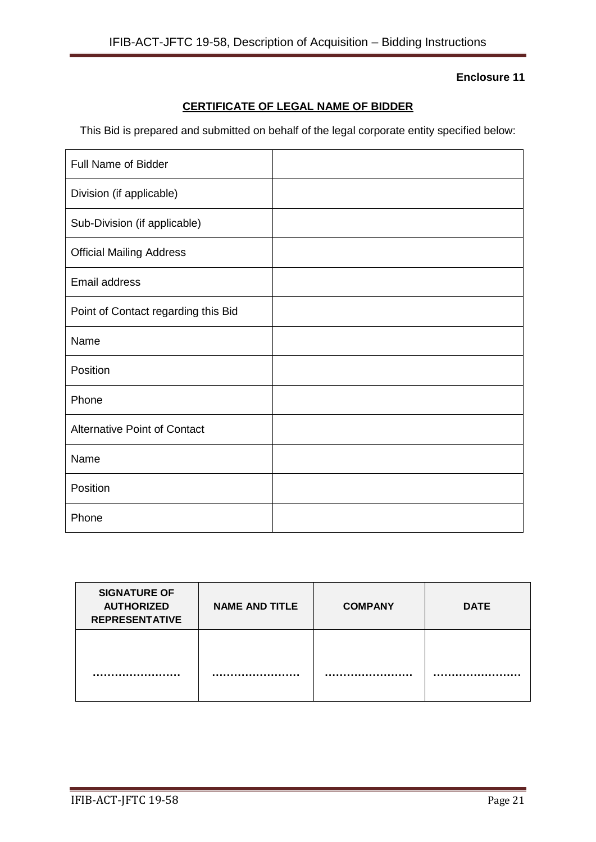# **CERTIFICATE OF LEGAL NAME OF BIDDER**

This Bid is prepared and submitted on behalf of the legal corporate entity specified below:

| <b>Full Name of Bidder</b>          |  |
|-------------------------------------|--|
| Division (if applicable)            |  |
| Sub-Division (if applicable)        |  |
| <b>Official Mailing Address</b>     |  |
| Email address                       |  |
| Point of Contact regarding this Bid |  |
| Name                                |  |
| Position                            |  |
| Phone                               |  |
| <b>Alternative Point of Contact</b> |  |
| Name                                |  |
| Position                            |  |
| Phone                               |  |

| <b>SIGNATURE OF</b><br><b>AUTHORIZED</b><br><b>REPRESENTATIVE</b> | <b>NAME AND TITLE</b> | <b>COMPANY</b> | <b>DATE</b> |
|-------------------------------------------------------------------|-----------------------|----------------|-------------|
|                                                                   |                       |                |             |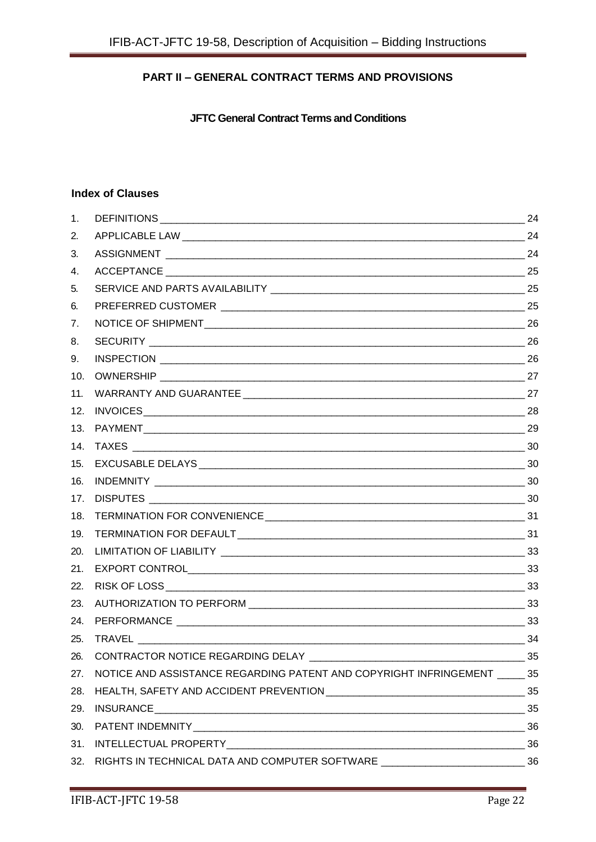# **PART II – GENERAL CONTRACT TERMS AND PROVISIONS**

**JFTC General Contract Terms and Conditions**

#### **Index of Clauses**

| 1.  |                                                                                    | 24 |
|-----|------------------------------------------------------------------------------------|----|
| 2.  |                                                                                    |    |
| 3.  |                                                                                    |    |
| 4.  |                                                                                    |    |
| 5.  |                                                                                    |    |
| 6.  |                                                                                    |    |
| 7.  |                                                                                    |    |
| 8.  |                                                                                    |    |
| 9.  |                                                                                    |    |
| 10. |                                                                                    |    |
| 11. |                                                                                    |    |
| 12. |                                                                                    |    |
| 13. |                                                                                    |    |
| 14. |                                                                                    |    |
| 15. |                                                                                    |    |
| 16. |                                                                                    |    |
| 17. |                                                                                    |    |
| 18. |                                                                                    |    |
| 19. |                                                                                    |    |
| 20. |                                                                                    |    |
| 21. |                                                                                    |    |
| 22. |                                                                                    |    |
| 23. |                                                                                    |    |
| 24. |                                                                                    |    |
| 25. | $\sim$ 34                                                                          |    |
| 26. | CONTRACTOR NOTICE REGARDING DELAY                                                  | 35 |
| 27. | NOTICE AND ASSISTANCE REGARDING PATENT AND COPYRIGHT INFRINGEMENT ______ 35        |    |
| 28. |                                                                                    |    |
| 29. |                                                                                    |    |
| 30. |                                                                                    |    |
| 31. |                                                                                    |    |
|     | 32. RIGHTS IN TECHNICAL DATA AND COMPUTER SOFTWARE _____________________________36 |    |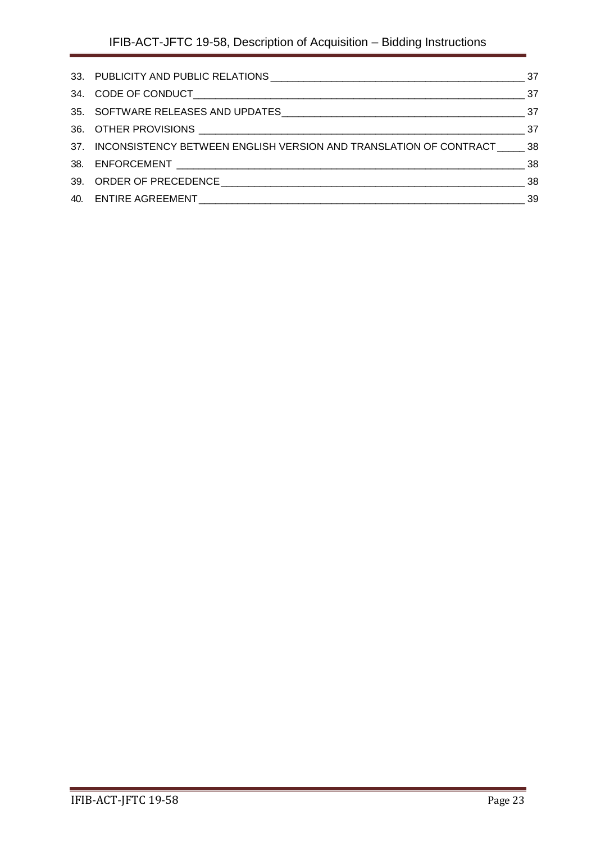<span id="page-22-0"></span>

| 37. INCONSISTENCY BETWEEN ENGLISH VERSION AND TRANSLATION OF CONTRACT 38 |  |
|--------------------------------------------------------------------------|--|
|                                                                          |  |
|                                                                          |  |
|                                                                          |  |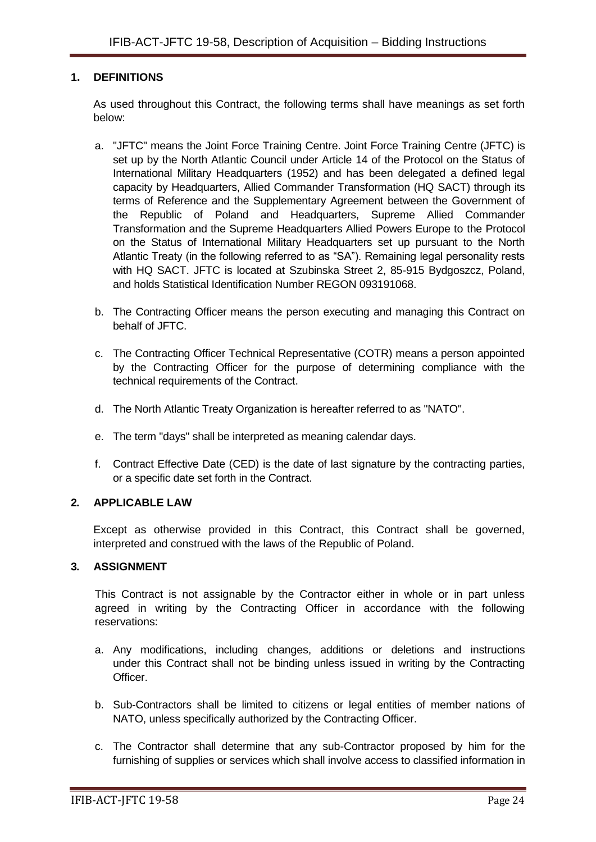### **1. DEFINITIONS**

As used throughout this Contract, the following terms shall have meanings as set forth below:

- a. "JFTC" means the Joint Force Training Centre. Joint Force Training Centre (JFTC) is set up by the North Atlantic Council under Article 14 of the Protocol on the Status of International Military Headquarters (1952) and has been delegated a defined legal capacity by Headquarters, Allied Commander Transformation (HQ SACT) through its terms of Reference and the Supplementary Agreement between the Government of the Republic of Poland and Headquarters, Supreme Allied Commander Transformation and the Supreme Headquarters Allied Powers Europe to the Protocol on the Status of International Military Headquarters set up pursuant to the North Atlantic Treaty (in the following referred to as "SA"). Remaining legal personality rests with HQ SACT. JFTC is located at Szubinska Street 2, 85-915 Bydgoszcz, Poland, and holds Statistical Identification Number REGON 093191068.
- b. The Contracting Officer means the person executing and managing this Contract on behalf of JFTC.
- c. The Contracting Officer Technical Representative (COTR) means a person appointed by the Contracting Officer for the purpose of determining compliance with the technical requirements of the Contract.
- d. The North Atlantic Treaty Organization is hereafter referred to as "NATO".
- e. The term "days" shall be interpreted as meaning calendar days.
- f. Contract Effective Date (CED) is the date of last signature by the contracting parties, or a specific date set forth in the Contract.

#### <span id="page-23-0"></span>**2. APPLICABLE LAW**

Except as otherwise provided in this Contract, this Contract shall be governed, interpreted and construed with the laws of the Republic of Poland.

#### <span id="page-23-1"></span>**3. ASSIGNMENT**

This Contract is not assignable by the Contractor either in whole or in part unless agreed in writing by the Contracting Officer in accordance with the following reservations:

- a. Any modifications, including changes, additions or deletions and instructions under this Contract shall not be binding unless issued in writing by the Contracting Officer.
- b. Sub-Contractors shall be limited to citizens or legal entities of member nations of NATO, unless specifically authorized by the Contracting Officer.
- c. The Contractor shall determine that any sub-Contractor proposed by him for the furnishing of supplies or services which shall involve access to classified information in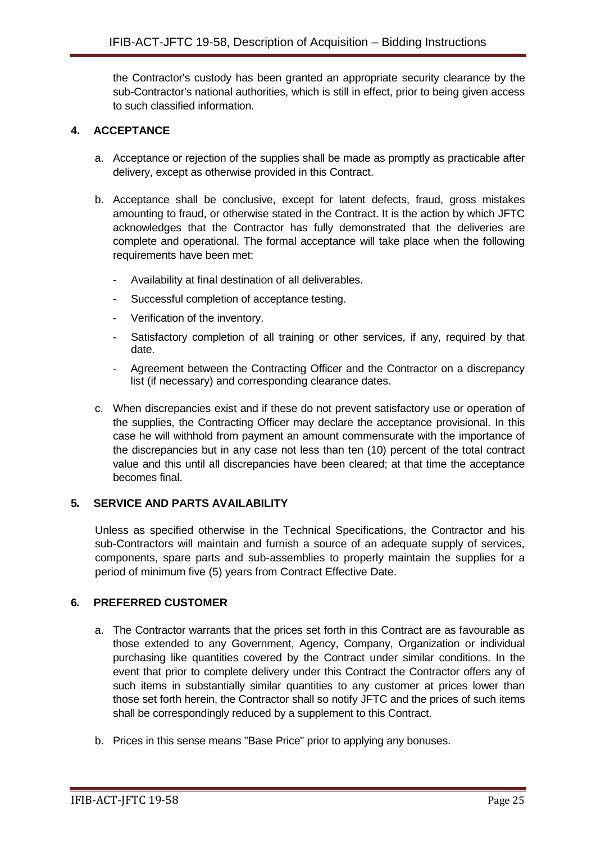the Contractor's custody has been granted an appropriate security clearance by the sub-Contractor's national authorities, which is still in effect, prior to being given access to such classified information.

# <span id="page-24-0"></span>**4. ACCEPTANCE**

- a. Acceptance or rejection of the supplies shall be made as promptly as practicable after delivery, except as otherwise provided in this Contract.
- b. Acceptance shall be conclusive, except for latent defects, fraud, gross mistakes amounting to fraud, or otherwise stated in the Contract. It is the action by which JFTC acknowledges that the Contractor has fully demonstrated that the deliveries are complete and operational. The formal acceptance will take place when the following requirements have been met:
	- Availability at final destination of all deliverables.
	- Successful completion of acceptance testing.
	- Verification of the inventory.
	- Satisfactory completion of all training or other services, if any, required by that date.
	- Agreement between the Contracting Officer and the Contractor on a discrepancy list (if necessary) and corresponding clearance dates.
- c. When discrepancies exist and if these do not prevent satisfactory use or operation of the supplies, the Contracting Officer may declare the acceptance provisional. In this case he will withhold from payment an amount commensurate with the importance of the discrepancies but in any case not less than ten (10) percent of the total contract value and this until all discrepancies have been cleared; at that time the acceptance becomes final.

# <span id="page-24-1"></span>**5. SERVICE AND PARTS AVAILABILITY**

Unless as specified otherwise in the Technical Specifications, the Contractor and his sub-Contractors will maintain and furnish a source of an adequate supply of services, components, spare parts and sub-assemblies to properly maintain the supplies for a period of minimum five (5) years from Contract Effective Date.

#### <span id="page-24-2"></span>**6. PREFERRED CUSTOMER**

- a. The Contractor warrants that the prices set forth in this Contract are as favourable as those extended to any Government, Agency, Company, Organization or individual purchasing like quantities covered by the Contract under similar conditions. In the event that prior to complete delivery under this Contract the Contractor offers any of such items in substantially similar quantities to any customer at prices lower than those set forth herein, the Contractor shall so notify JFTC and the prices of such items shall be correspondingly reduced by a supplement to this Contract.
- b. Prices in this sense means "Base Price" prior to applying any bonuses.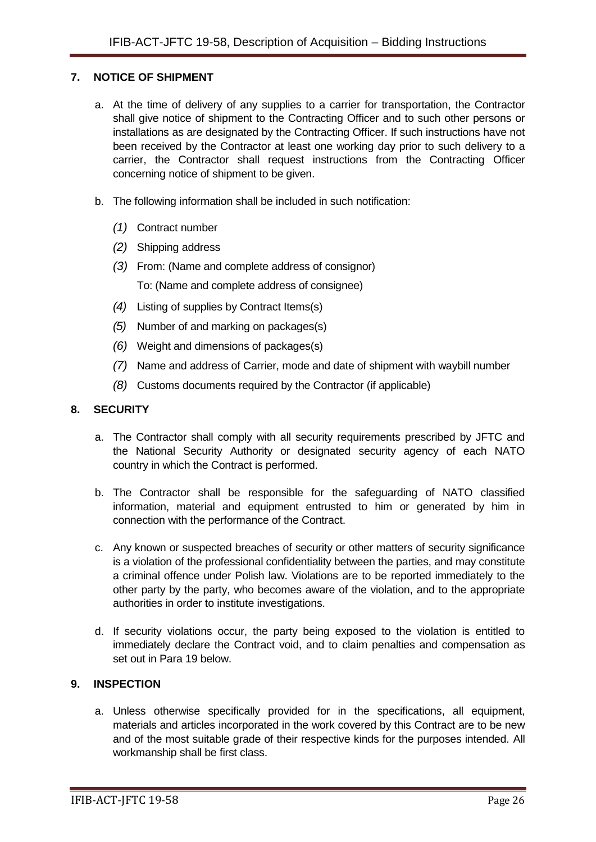### <span id="page-25-0"></span>**7. NOTICE OF SHIPMENT**

- a. At the time of delivery of any supplies to a carrier for transportation, the Contractor shall give notice of shipment to the Contracting Officer and to such other persons or installations as are designated by the Contracting Officer. If such instructions have not been received by the Contractor at least one working day prior to such delivery to a carrier, the Contractor shall request instructions from the Contracting Officer concerning notice of shipment to be given.
- b. The following information shall be included in such notification:
	- *(1)* Contract number
	- *(2)* Shipping address
	- *(3)* From: (Name and complete address of consignor) To: (Name and complete address of consignee)
	- *(4)* Listing of supplies by Contract Items(s)
	- *(5)* Number of and marking on packages(s)
	- *(6)* Weight and dimensions of packages(s)
	- *(7)* Name and address of Carrier, mode and date of shipment with waybill number
	- *(8)* Customs documents required by the Contractor (if applicable)

### <span id="page-25-1"></span>**8. SECURITY**

- a. The Contractor shall comply with all security requirements prescribed by JFTC and the National Security Authority or designated security agency of each NATO country in which the Contract is performed.
- b. The Contractor shall be responsible for the safeguarding of NATO classified information, material and equipment entrusted to him or generated by him in connection with the performance of the Contract.
- c. Any known or suspected breaches of security or other matters of security significance is a violation of the professional confidentiality between the parties, and may constitute a criminal offence under Polish law. Violations are to be reported immediately to the other party by the party, who becomes aware of the violation, and to the appropriate authorities in order to institute investigations.
- d. If security violations occur, the party being exposed to the violation is entitled to immediately declare the Contract void, and to claim penalties and compensation as set out in Para 19 below.

### <span id="page-25-2"></span>**9. INSPECTION**

a. Unless otherwise specifically provided for in the specifications, all equipment, materials and articles incorporated in the work covered by this Contract are to be new and of the most suitable grade of their respective kinds for the purposes intended. All workmanship shall be first class.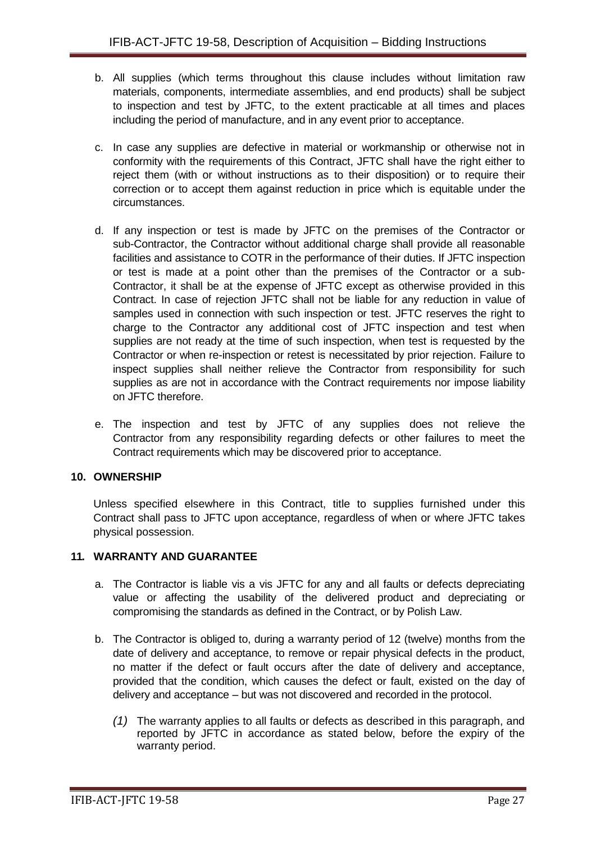- b. All supplies (which terms throughout this clause includes without limitation raw materials, components, intermediate assemblies, and end products) shall be subject to inspection and test by JFTC, to the extent practicable at all times and places including the period of manufacture, and in any event prior to acceptance.
- c. In case any supplies are defective in material or workmanship or otherwise not in conformity with the requirements of this Contract, JFTC shall have the right either to reject them (with or without instructions as to their disposition) or to require their correction or to accept them against reduction in price which is equitable under the circumstances.
- d. If any inspection or test is made by JFTC on the premises of the Contractor or sub-Contractor, the Contractor without additional charge shall provide all reasonable facilities and assistance to COTR in the performance of their duties. If JFTC inspection or test is made at a point other than the premises of the Contractor or a sub-Contractor, it shall be at the expense of JFTC except as otherwise provided in this Contract. In case of rejection JFTC shall not be liable for any reduction in value of samples used in connection with such inspection or test. JFTC reserves the right to charge to the Contractor any additional cost of JFTC inspection and test when supplies are not ready at the time of such inspection, when test is requested by the Contractor or when re-inspection or retest is necessitated by prior rejection. Failure to inspect supplies shall neither relieve the Contractor from responsibility for such supplies as are not in accordance with the Contract requirements nor impose liability on JFTC therefore.
- e. The inspection and test by JFTC of any supplies does not relieve the Contractor from any responsibility regarding defects or other failures to meet the Contract requirements which may be discovered prior to acceptance.

# <span id="page-26-0"></span>**10. OWNERSHIP**

Unless specified elsewhere in this Contract, title to supplies furnished under this Contract shall pass to JFTC upon acceptance, regardless of when or where JFTC takes physical possession.

#### <span id="page-26-1"></span>**11. WARRANTY AND GUARANTEE**

- a. The Contractor is liable vis a vis JFTC for any and all faults or defects depreciating value or affecting the usability of the delivered product and depreciating or compromising the standards as defined in the Contract, or by Polish Law.
- b. The Contractor is obliged to, during a warranty period of 12 (twelve) months from the date of delivery and acceptance, to remove or repair physical defects in the product, no matter if the defect or fault occurs after the date of delivery and acceptance, provided that the condition, which causes the defect or fault, existed on the day of delivery and acceptance – but was not discovered and recorded in the protocol.
	- *(1)* The warranty applies to all faults or defects as described in this paragraph, and reported by JFTC in accordance as stated below, before the expiry of the warranty period.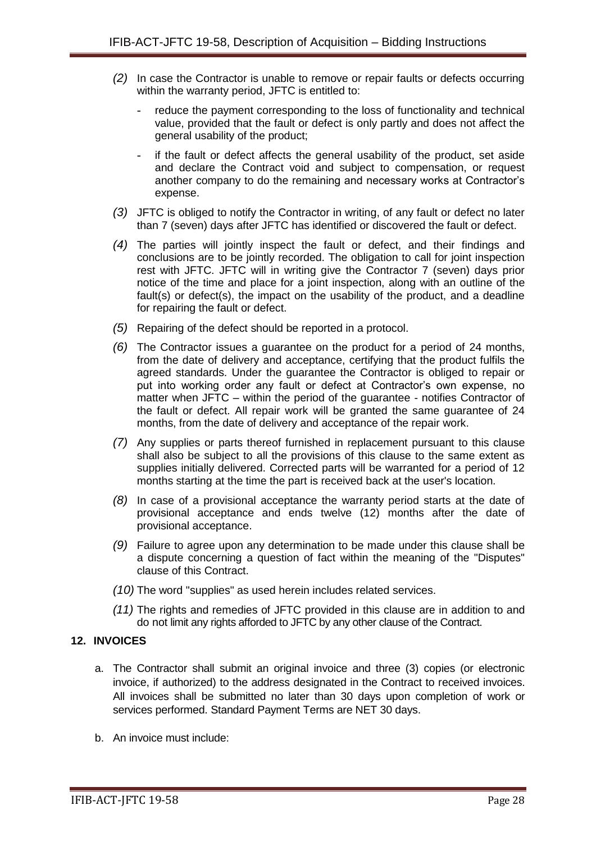- *(2)* In case the Contractor is unable to remove or repair faults or defects occurring within the warranty period, JFTC is entitled to:
	- reduce the payment corresponding to the loss of functionality and technical value, provided that the fault or defect is only partly and does not affect the general usability of the product;
	- if the fault or defect affects the general usability of the product, set aside and declare the Contract void and subject to compensation, or request another company to do the remaining and necessary works at Contractor's expense.
- *(3)* JFTC is obliged to notify the Contractor in writing, of any fault or defect no later than 7 (seven) days after JFTC has identified or discovered the fault or defect.
- *(4)* The parties will jointly inspect the fault or defect, and their findings and conclusions are to be jointly recorded. The obligation to call for joint inspection rest with JFTC. JFTC will in writing give the Contractor 7 (seven) days prior notice of the time and place for a joint inspection, along with an outline of the fault(s) or defect(s), the impact on the usability of the product, and a deadline for repairing the fault or defect.
- *(5)* Repairing of the defect should be reported in a protocol.
- *(6)* The Contractor issues a guarantee on the product for a period of 24 months, from the date of delivery and acceptance, certifying that the product fulfils the agreed standards. Under the guarantee the Contractor is obliged to repair or put into working order any fault or defect at Contractor's own expense, no matter when JFTC – within the period of the guarantee - notifies Contractor of the fault or defect. All repair work will be granted the same guarantee of 24 months, from the date of delivery and acceptance of the repair work.
- *(7)* Any supplies or parts thereof furnished in replacement pursuant to this clause shall also be subject to all the provisions of this clause to the same extent as supplies initially delivered. Corrected parts will be warranted for a period of 12 months starting at the time the part is received back at the user's location.
- *(8)* In case of a provisional acceptance the warranty period starts at the date of provisional acceptance and ends twelve (12) months after the date of provisional acceptance.
- *(9)* Failure to agree upon any determination to be made under this clause shall be a dispute concerning a question of fact within the meaning of the "Disputes" clause of this Contract.
- *(10)* The word "supplies" as used herein includes related services.
- *(11)* The rights and remedies of JFTC provided in this clause are in addition to and do not limit any rights afforded to JFTC by any other clause of the Contract.

#### <span id="page-27-0"></span>**12. INVOICES**

- a. The Contractor shall submit an original invoice and three (3) copies (or electronic invoice, if authorized) to the address designated in the Contract to received invoices. All invoices shall be submitted no later than 30 days upon completion of work or services performed. Standard Payment Terms are NET 30 days.
- b. An invoice must include: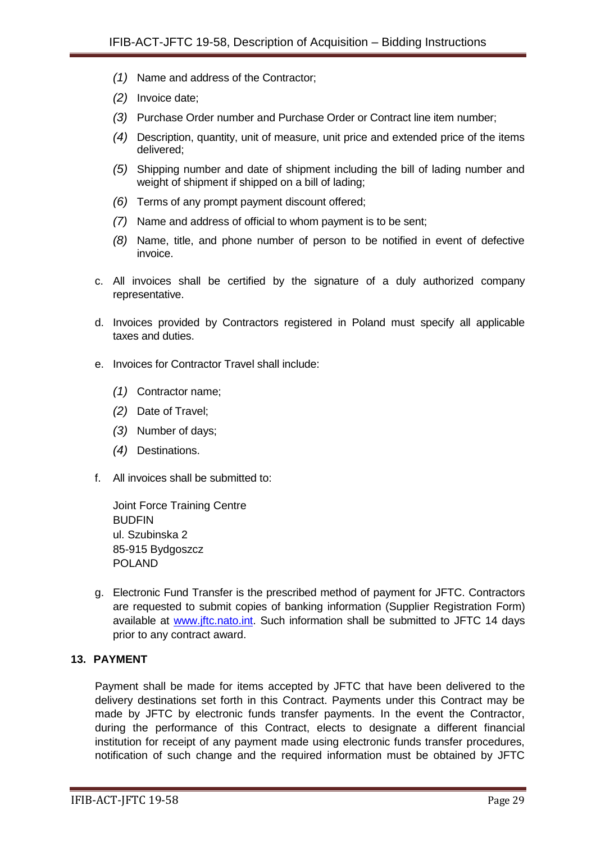- *(1)* Name and address of the Contractor;
- *(2)* Invoice date;
- *(3)* Purchase Order number and Purchase Order or Contract line item number;
- *(4)* Description, quantity, unit of measure, unit price and extended price of the items delivered;
- *(5)* Shipping number and date of shipment including the bill of lading number and weight of shipment if shipped on a bill of lading;
- *(6)* Terms of any prompt payment discount offered;
- *(7)* Name and address of official to whom payment is to be sent;
- *(8)* Name, title, and phone number of person to be notified in event of defective invoice.
- c. All invoices shall be certified by the signature of a duly authorized company representative.
- d. Invoices provided by Contractors registered in Poland must specify all applicable taxes and duties.
- e. Invoices for Contractor Travel shall include:
	- *(1)* Contractor name;
	- *(2)* Date of Travel;
	- *(3)* Number of days;
	- *(4)* Destinations.
- f. All invoices shall be submitted to:

Joint Force Training Centre **BUDFIN** ul. Szubinska 2 85-915 Bydgoszcz POLAND

g. Electronic Fund Transfer is the prescribed method of payment for JFTC. Contractors are requested to submit copies of banking information (Supplier Registration Form) available at [www.jftc.nato.int.](http://www.jftc.nato.int/) Such information shall be submitted to JFTC 14 days prior to any contract award.

#### <span id="page-28-0"></span>**13. PAYMENT**

Payment shall be made for items accepted by JFTC that have been delivered to the delivery destinations set forth in this Contract. Payments under this Contract may be made by JFTC by electronic funds transfer payments. In the event the Contractor, during the performance of this Contract, elects to designate a different financial institution for receipt of any payment made using electronic funds transfer procedures, notification of such change and the required information must be obtained by JFTC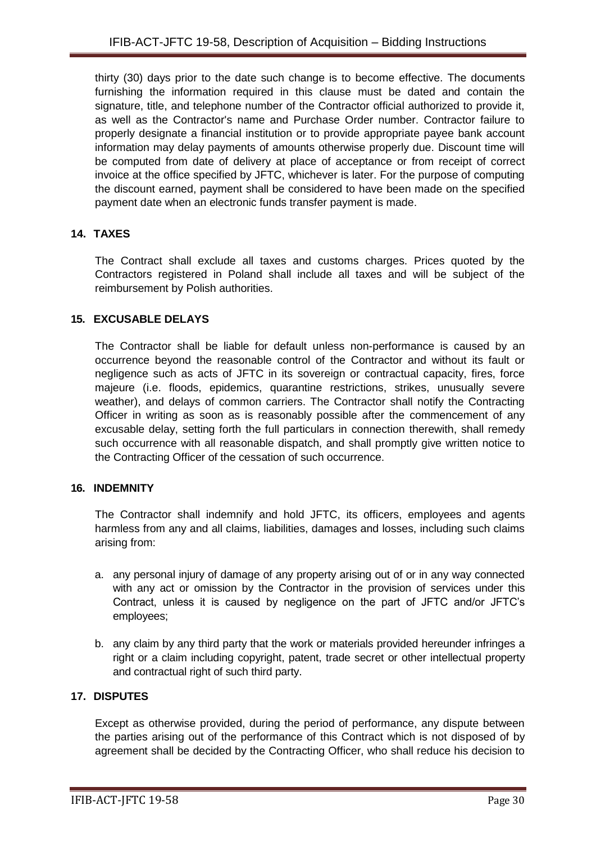thirty (30) days prior to the date such change is to become effective. The documents furnishing the information required in this clause must be dated and contain the signature, title, and telephone number of the Contractor official authorized to provide it, as well as the Contractor's name and Purchase Order number. Contractor failure to properly designate a financial institution or to provide appropriate payee bank account information may delay payments of amounts otherwise properly due. Discount time will be computed from date of delivery at place of acceptance or from receipt of correct invoice at the office specified by JFTC, whichever is later. For the purpose of computing the discount earned, payment shall be considered to have been made on the specified payment date when an electronic funds transfer payment is made.

# <span id="page-29-0"></span>**14. TAXES**

The Contract shall exclude all taxes and customs charges. Prices quoted by the Contractors registered in Poland shall include all taxes and will be subject of the reimbursement by Polish authorities.

# <span id="page-29-1"></span>**15. EXCUSABLE DELAYS**

The Contractor shall be liable for default unless non-performance is caused by an occurrence beyond the reasonable control of the Contractor and without its fault or negligence such as acts of JFTC in its sovereign or contractual capacity, fires, force majeure (i.e. floods, epidemics, quarantine restrictions, strikes, unusually severe weather), and delays of common carriers. The Contractor shall notify the Contracting Officer in writing as soon as is reasonably possible after the commencement of any excusable delay, setting forth the full particulars in connection therewith, shall remedy such occurrence with all reasonable dispatch, and shall promptly give written notice to the Contracting Officer of the cessation of such occurrence.

#### <span id="page-29-2"></span>**16. INDEMNITY**

The Contractor shall indemnify and hold JFTC, its officers, employees and agents harmless from any and all claims, liabilities, damages and losses, including such claims arising from:

- a. any personal injury of damage of any property arising out of or in any way connected with any act or omission by the Contractor in the provision of services under this Contract, unless it is caused by negligence on the part of JFTC and/or JFTC's employees;
- b. any claim by any third party that the work or materials provided hereunder infringes a right or a claim including copyright, patent, trade secret or other intellectual property and contractual right of such third party.

### <span id="page-29-3"></span>**17. DISPUTES**

Except as otherwise provided, during the period of performance, any dispute between the parties arising out of the performance of this Contract which is not disposed of by agreement shall be decided by the Contracting Officer, who shall reduce his decision to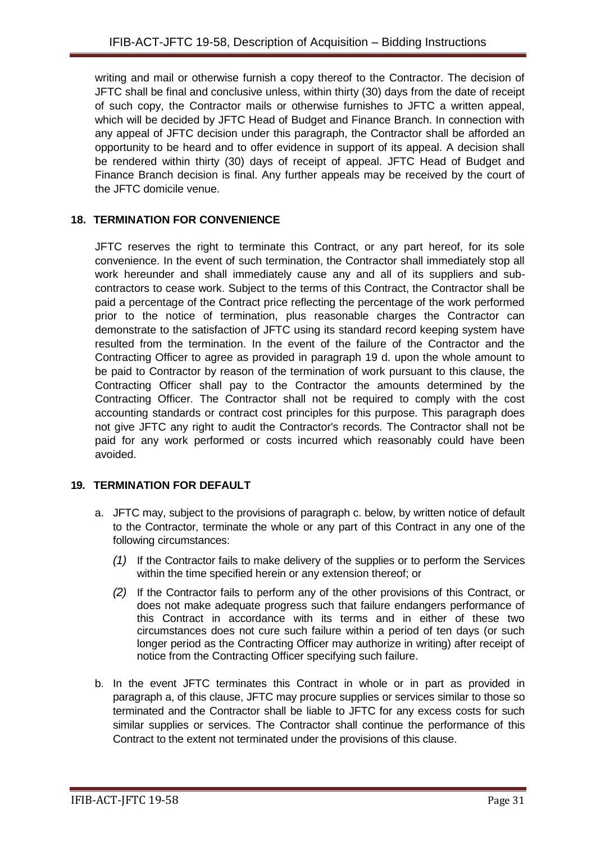writing and mail or otherwise furnish a copy thereof to the Contractor. The decision of JFTC shall be final and conclusive unless, within thirty (30) days from the date of receipt of such copy, the Contractor mails or otherwise furnishes to JFTC a written appeal, which will be decided by JFTC Head of Budget and Finance Branch. In connection with any appeal of JFTC decision under this paragraph, the Contractor shall be afforded an opportunity to be heard and to offer evidence in support of its appeal. A decision shall be rendered within thirty (30) days of receipt of appeal. JFTC Head of Budget and Finance Branch decision is final. Any further appeals may be received by the court of the JFTC domicile venue.

# <span id="page-30-0"></span>**18. TERMINATION FOR CONVENIENCE**

JFTC reserves the right to terminate this Contract, or any part hereof, for its sole convenience. In the event of such termination, the Contractor shall immediately stop all work hereunder and shall immediately cause any and all of its suppliers and subcontractors to cease work. Subject to the terms of this Contract, the Contractor shall be paid a percentage of the Contract price reflecting the percentage of the work performed prior to the notice of termination, plus reasonable charges the Contractor can demonstrate to the satisfaction of JFTC using its standard record keeping system have resulted from the termination. In the event of the failure of the Contractor and the Contracting Officer to agree as provided in paragraph 19 d. upon the whole amount to be paid to Contractor by reason of the termination of work pursuant to this clause, the Contracting Officer shall pay to the Contractor the amounts determined by the Contracting Officer. The Contractor shall not be required to comply with the cost accounting standards or contract cost principles for this purpose. This paragraph does not give JFTC any right to audit the Contractor's records. The Contractor shall not be paid for any work performed or costs incurred which reasonably could have been avoided.

# <span id="page-30-1"></span>**19. TERMINATION FOR DEFAULT**

- a. JFTC may, subject to the provisions of paragraph c. below, by written notice of default to the Contractor, terminate the whole or any part of this Contract in any one of the following circumstances:
	- *(1)* If the Contractor fails to make delivery of the supplies or to perform the Services within the time specified herein or any extension thereof; or
	- *(2)* If the Contractor fails to perform any of the other provisions of this Contract, or does not make adequate progress such that failure endangers performance of this Contract in accordance with its terms and in either of these two circumstances does not cure such failure within a period of ten days (or such longer period as the Contracting Officer may authorize in writing) after receipt of notice from the Contracting Officer specifying such failure.
- b. In the event JFTC terminates this Contract in whole or in part as provided in paragraph a, of this clause, JFTC may procure supplies or services similar to those so terminated and the Contractor shall be liable to JFTC for any excess costs for such similar supplies or services. The Contractor shall continue the performance of this Contract to the extent not terminated under the provisions of this clause.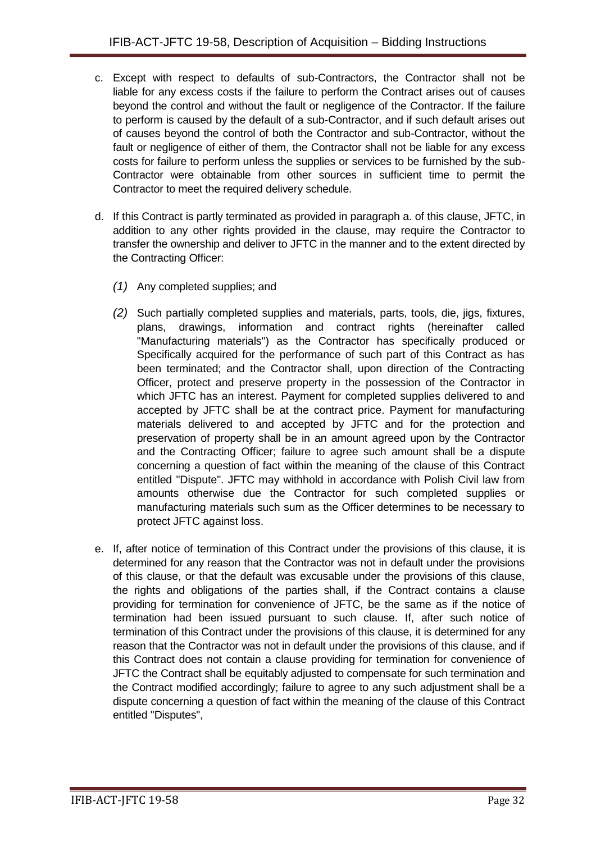- c. Except with respect to defaults of sub-Contractors, the Contractor shall not be liable for any excess costs if the failure to perform the Contract arises out of causes beyond the control and without the fault or negligence of the Contractor. If the failure to perform is caused by the default of a sub-Contractor, and if such default arises out of causes beyond the control of both the Contractor and sub-Contractor, without the fault or negligence of either of them, the Contractor shall not be liable for any excess costs for failure to perform unless the supplies or services to be furnished by the sub-Contractor were obtainable from other sources in sufficient time to permit the Contractor to meet the required delivery schedule.
- d. If this Contract is partly terminated as provided in paragraph a. of this clause, JFTC, in addition to any other rights provided in the clause, may require the Contractor to transfer the ownership and deliver to JFTC in the manner and to the extent directed by the Contracting Officer:
	- *(1)* Any completed supplies; and
	- *(2)* Such partially completed supplies and materials, parts, tools, die, jigs, fixtures, plans, drawings, information and contract rights (hereinafter called "Manufacturing materials") as the Contractor has specifically produced or Specifically acquired for the performance of such part of this Contract as has been terminated; and the Contractor shall, upon direction of the Contracting Officer, protect and preserve property in the possession of the Contractor in which JFTC has an interest. Payment for completed supplies delivered to and accepted by JFTC shall be at the contract price. Payment for manufacturing materials delivered to and accepted by JFTC and for the protection and preservation of property shall be in an amount agreed upon by the Contractor and the Contracting Officer; failure to agree such amount shall be a dispute concerning a question of fact within the meaning of the clause of this Contract entitled "Dispute". JFTC may withhold in accordance with Polish Civil law from amounts otherwise due the Contractor for such completed supplies or manufacturing materials such sum as the Officer determines to be necessary to protect JFTC against loss.
- e. If, after notice of termination of this Contract under the provisions of this clause, it is determined for any reason that the Contractor was not in default under the provisions of this clause, or that the default was excusable under the provisions of this clause, the rights and obligations of the parties shall, if the Contract contains a clause providing for termination for convenience of JFTC, be the same as if the notice of termination had been issued pursuant to such clause. If, after such notice of termination of this Contract under the provisions of this clause, it is determined for any reason that the Contractor was not in default under the provisions of this clause, and if this Contract does not contain a clause providing for termination for convenience of JFTC the Contract shall be equitably adjusted to compensate for such termination and the Contract modified accordingly; failure to agree to any such adjustment shall be a dispute concerning a question of fact within the meaning of the clause of this Contract entitled "Disputes",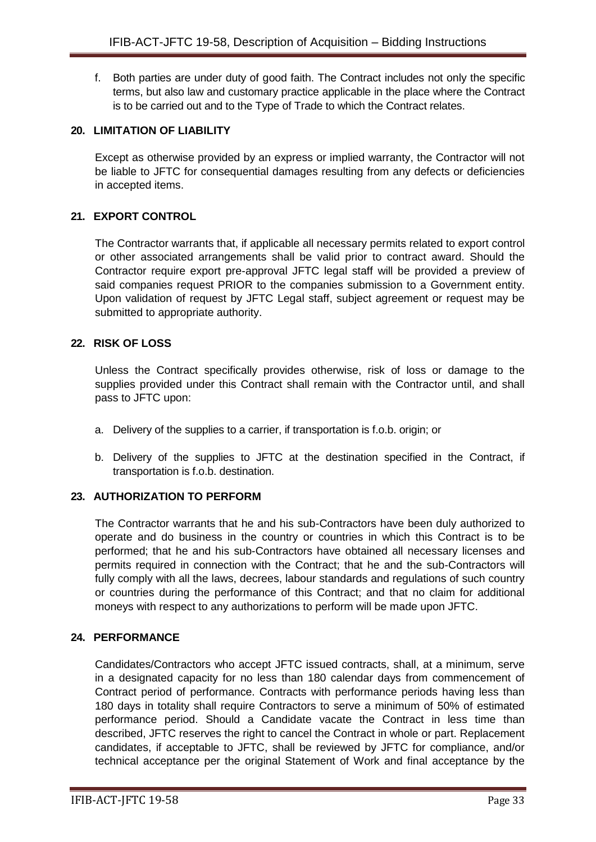f. Both parties are under duty of good faith. The Contract includes not only the specific terms, but also law and customary practice applicable in the place where the Contract is to be carried out and to the Type of Trade to which the Contract relates.

### <span id="page-32-0"></span>**20. LIMITATION OF LIABILITY**

Except as otherwise provided by an express or implied warranty, the Contractor will not be liable to JFTC for consequential damages resulting from any defects or deficiencies in accepted items.

# <span id="page-32-1"></span>**21. EXPORT CONTROL**

The Contractor warrants that, if applicable all necessary permits related to export control or other associated arrangements shall be valid prior to contract award. Should the Contractor require export pre-approval JFTC legal staff will be provided a preview of said companies request PRIOR to the companies submission to a Government entity. Upon validation of request by JFTC Legal staff, subject agreement or request may be submitted to appropriate authority.

### <span id="page-32-2"></span>**22. RISK OF LOSS**

Unless the Contract specifically provides otherwise, risk of loss or damage to the supplies provided under this Contract shall remain with the Contractor until, and shall pass to JFTC upon:

- a. Delivery of the supplies to a carrier, if transportation is f.o.b. origin; or
- b. Delivery of the supplies to JFTC at the destination specified in the Contract, if transportation is f.o.b. destination.

#### <span id="page-32-3"></span>**23. AUTHORIZATION TO PERFORM**

The Contractor warrants that he and his sub-Contractors have been duly authorized to operate and do business in the country or countries in which this Contract is to be performed; that he and his sub-Contractors have obtained all necessary licenses and permits required in connection with the Contract; that he and the sub-Contractors will fully comply with all the laws, decrees, labour standards and regulations of such country or countries during the performance of this Contract; and that no claim for additional moneys with respect to any authorizations to perform will be made upon JFTC.

#### <span id="page-32-4"></span>**24. PERFORMANCE**

Candidates/Contractors who accept JFTC issued contracts, shall, at a minimum, serve in a designated capacity for no less than 180 calendar days from commencement of Contract period of performance. Contracts with performance periods having less than 180 days in totality shall require Contractors to serve a minimum of 50% of estimated performance period. Should a Candidate vacate the Contract in less time than described, JFTC reserves the right to cancel the Contract in whole or part. Replacement candidates, if acceptable to JFTC, shall be reviewed by JFTC for compliance, and/or technical acceptance per the original Statement of Work and final acceptance by the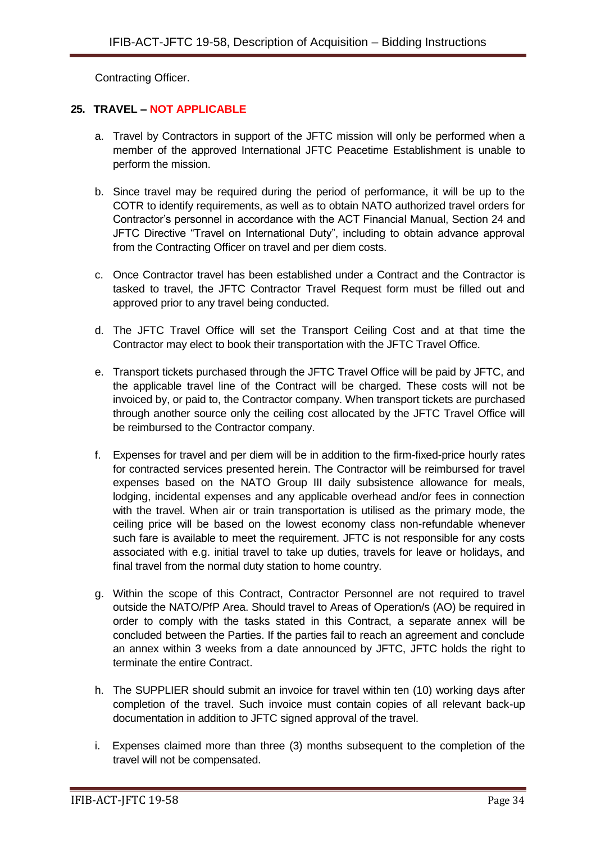Contracting Officer.

# <span id="page-33-0"></span>**25. TRAVEL – NOT APPLICABLE**

- a. Travel by Contractors in support of the JFTC mission will only be performed when a member of the approved International JFTC Peacetime Establishment is unable to perform the mission.
- b. Since travel may be required during the period of performance, it will be up to the COTR to identify requirements, as well as to obtain NATO authorized travel orders for Contractor's personnel in accordance with the ACT Financial Manual, Section 24 and JFTC Directive "Travel on International Duty", including to obtain advance approval from the Contracting Officer on travel and per diem costs.
- c. Once Contractor travel has been established under a Contract and the Contractor is tasked to travel, the JFTC Contractor Travel Request form must be filled out and approved prior to any travel being conducted.
- d. The JFTC Travel Office will set the Transport Ceiling Cost and at that time the Contractor may elect to book their transportation with the JFTC Travel Office.
- e. Transport tickets purchased through the JFTC Travel Office will be paid by JFTC, and the applicable travel line of the Contract will be charged. These costs will not be invoiced by, or paid to, the Contractor company. When transport tickets are purchased through another source only the ceiling cost allocated by the JFTC Travel Office will be reimbursed to the Contractor company.
- f. Expenses for travel and per diem will be in addition to the firm-fixed-price hourly rates for contracted services presented herein. The Contractor will be reimbursed for travel expenses based on the NATO Group III daily subsistence allowance for meals, lodging, incidental expenses and any applicable overhead and/or fees in connection with the travel. When air or train transportation is utilised as the primary mode, the ceiling price will be based on the lowest economy class non-refundable whenever such fare is available to meet the requirement. JFTC is not responsible for any costs associated with e.g. initial travel to take up duties, travels for leave or holidays, and final travel from the normal duty station to home country.
- g. Within the scope of this Contract, Contractor Personnel are not required to travel outside the NATO/PfP Area. Should travel to Areas of Operation/s (AO) be required in order to comply with the tasks stated in this Contract, a separate annex will be concluded between the Parties. If the parties fail to reach an agreement and conclude an annex within 3 weeks from a date announced by JFTC, JFTC holds the right to terminate the entire Contract.
- h. The SUPPLIER should submit an invoice for travel within ten (10) working days after completion of the travel. Such invoice must contain copies of all relevant back-up documentation in addition to JFTC signed approval of the travel.
- i. Expenses claimed more than three (3) months subsequent to the completion of the travel will not be compensated.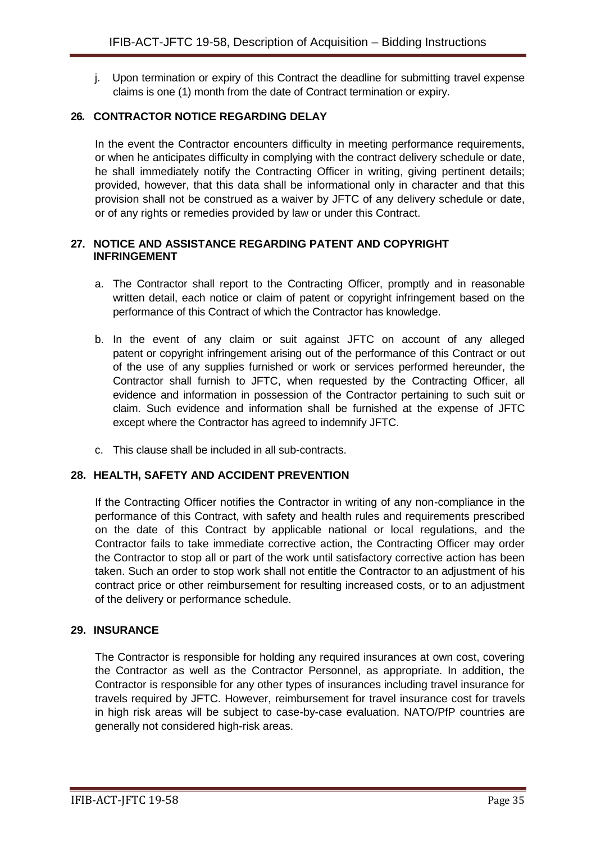j. Upon termination or expiry of this Contract the deadline for submitting travel expense claims is one (1) month from the date of Contract termination or expiry.

# <span id="page-34-0"></span>**26. CONTRACTOR NOTICE REGARDING DELAY**

In the event the Contractor encounters difficulty in meeting performance requirements, or when he anticipates difficulty in complying with the contract delivery schedule or date, he shall immediately notify the Contracting Officer in writing, giving pertinent details; provided, however, that this data shall be informational only in character and that this provision shall not be construed as a waiver by JFTC of any delivery schedule or date, or of any rights or remedies provided by law or under this Contract.

### <span id="page-34-1"></span>**27. NOTICE AND ASSISTANCE REGARDING PATENT AND COPYRIGHT INFRINGEMENT**

- a. The Contractor shall report to the Contracting Officer, promptly and in reasonable written detail, each notice or claim of patent or copyright infringement based on the performance of this Contract of which the Contractor has knowledge.
- b. In the event of any claim or suit against JFTC on account of any alleged patent or copyright infringement arising out of the performance of this Contract or out of the use of any supplies furnished or work or services performed hereunder, the Contractor shall furnish to JFTC, when requested by the Contracting Officer, all evidence and information in possession of the Contractor pertaining to such suit or claim. Such evidence and information shall be furnished at the expense of JFTC except where the Contractor has agreed to indemnify JFTC.
- c. This clause shall be included in all sub-contracts.

# <span id="page-34-2"></span>**28. HEALTH, SAFETY AND ACCIDENT PREVENTION**

If the Contracting Officer notifies the Contractor in writing of any non-compliance in the performance of this Contract, with safety and health rules and requirements prescribed on the date of this Contract by applicable national or local regulations, and the Contractor fails to take immediate corrective action, the Contracting Officer may order the Contractor to stop all or part of the work until satisfactory corrective action has been taken. Such an order to stop work shall not entitle the Contractor to an adjustment of his contract price or other reimbursement for resulting increased costs, or to an adjustment of the delivery or performance schedule.

#### <span id="page-34-3"></span>**29. INSURANCE**

The Contractor is responsible for holding any required insurances at own cost, covering the Contractor as well as the Contractor Personnel, as appropriate. In addition, the Contractor is responsible for any other types of insurances including travel insurance for travels required by JFTC. However, reimbursement for travel insurance cost for travels in high risk areas will be subject to case-by-case evaluation. NATO/PfP countries are generally not considered high-risk areas.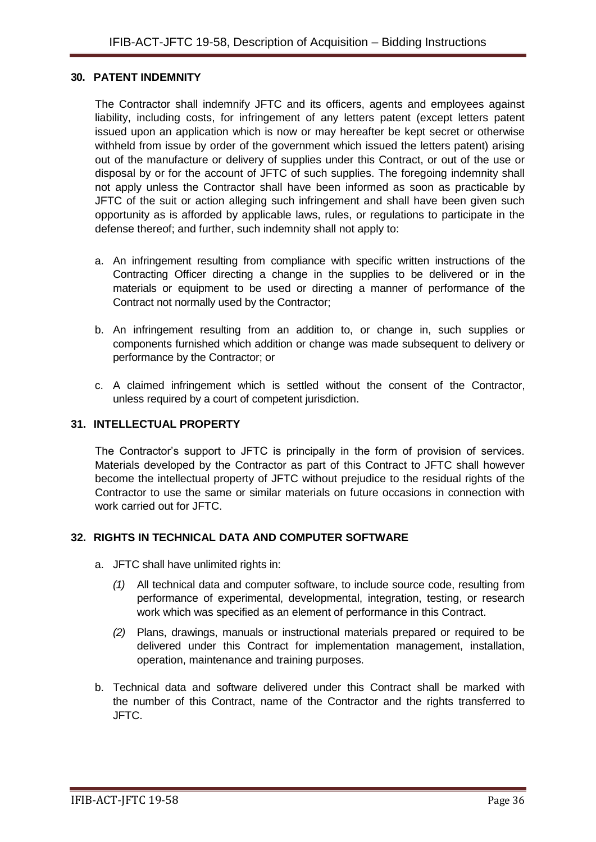#### <span id="page-35-0"></span>**30. PATENT INDEMNITY**

The Contractor shall indemnify JFTC and its officers, agents and employees against liability, including costs, for infringement of any letters patent (except letters patent issued upon an application which is now or may hereafter be kept secret or otherwise withheld from issue by order of the government which issued the letters patent) arising out of the manufacture or delivery of supplies under this Contract, or out of the use or disposal by or for the account of JFTC of such supplies. The foregoing indemnity shall not apply unless the Contractor shall have been informed as soon as practicable by JFTC of the suit or action alleging such infringement and shall have been given such opportunity as is afforded by applicable laws, rules, or regulations to participate in the defense thereof; and further, such indemnity shall not apply to:

- a. An infringement resulting from compliance with specific written instructions of the Contracting Officer directing a change in the supplies to be delivered or in the materials or equipment to be used or directing a manner of performance of the Contract not normally used by the Contractor;
- b. An infringement resulting from an addition to, or change in, such supplies or components furnished which addition or change was made subsequent to delivery or performance by the Contractor; or
- c. A claimed infringement which is settled without the consent of the Contractor, unless required by a court of competent jurisdiction.

#### <span id="page-35-1"></span>**31. INTELLECTUAL PROPERTY**

The Contractor's support to JFTC is principally in the form of provision of services. Materials developed by the Contractor as part of this Contract to JFTC shall however become the intellectual property of JFTC without prejudice to the residual rights of the Contractor to use the same or similar materials on future occasions in connection with work carried out for JFTC.

#### <span id="page-35-2"></span>**32. RIGHTS IN TECHNICAL DATA AND COMPUTER SOFTWARE**

- a. JFTC shall have unlimited rights in:
	- *(1)* All technical data and computer software, to include source code, resulting from performance of experimental, developmental, integration, testing, or research work which was specified as an element of performance in this Contract.
	- *(2)* Plans, drawings, manuals or instructional materials prepared or required to be delivered under this Contract for implementation management, installation, operation, maintenance and training purposes.
- b. Technical data and software delivered under this Contract shall be marked with the number of this Contract, name of the Contractor and the rights transferred to JFTC.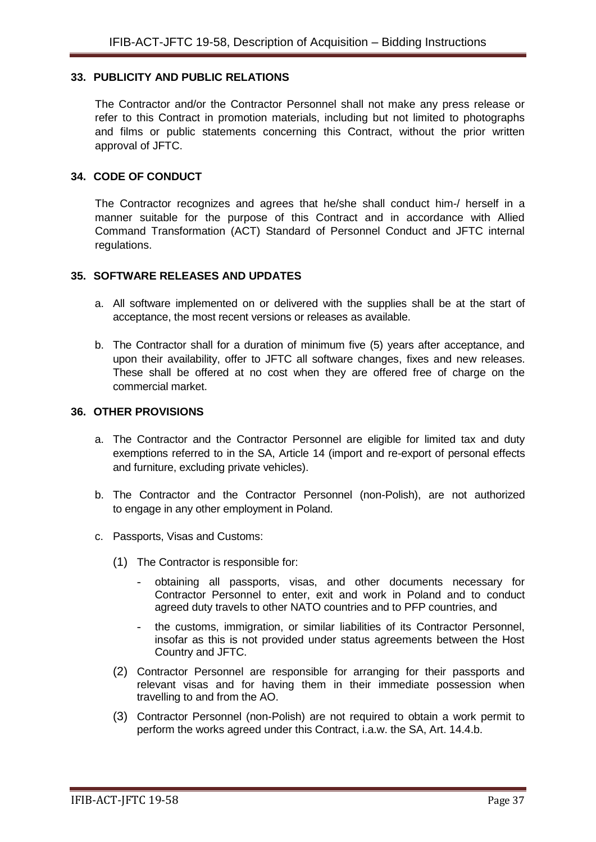### <span id="page-36-0"></span>**33. PUBLICITY AND PUBLIC RELATIONS**

The Contractor and/or the Contractor Personnel shall not make any press release or refer to this Contract in promotion materials, including but not limited to photographs and films or public statements concerning this Contract, without the prior written approval of JFTC.

#### <span id="page-36-1"></span>**34. CODE OF CONDUCT**

The Contractor recognizes and agrees that he/she shall conduct him-/ herself in a manner suitable for the purpose of this Contract and in accordance with Allied Command Transformation (ACT) Standard of Personnel Conduct and JFTC internal regulations.

#### <span id="page-36-2"></span>**35. SOFTWARE RELEASES AND UPDATES**

- a. All software implemented on or delivered with the supplies shall be at the start of acceptance, the most recent versions or releases as available.
- b. The Contractor shall for a duration of minimum five (5) years after acceptance, and upon their availability, offer to JFTC all software changes, fixes and new releases. These shall be offered at no cost when they are offered free of charge on the commercial market.

#### <span id="page-36-3"></span>**36. OTHER PROVISIONS**

- a. The Contractor and the Contractor Personnel are eligible for limited tax and duty exemptions referred to in the SA, Article 14 (import and re-export of personal effects and furniture, excluding private vehicles).
- b. The Contractor and the Contractor Personnel (non-Polish), are not authorized to engage in any other employment in Poland.
- c. Passports, Visas and Customs:
	- (1) The Contractor is responsible for:
		- obtaining all passports, visas, and other documents necessary for Contractor Personnel to enter, exit and work in Poland and to conduct agreed duty travels to other NATO countries and to PFP countries, and
		- the customs, immigration, or similar liabilities of its Contractor Personnel, insofar as this is not provided under status agreements between the Host Country and JFTC.
	- (2) Contractor Personnel are responsible for arranging for their passports and relevant visas and for having them in their immediate possession when travelling to and from the AO.
	- (3) Contractor Personnel (non-Polish) are not required to obtain a work permit to perform the works agreed under this Contract, i.a.w. the SA, Art. 14.4.b.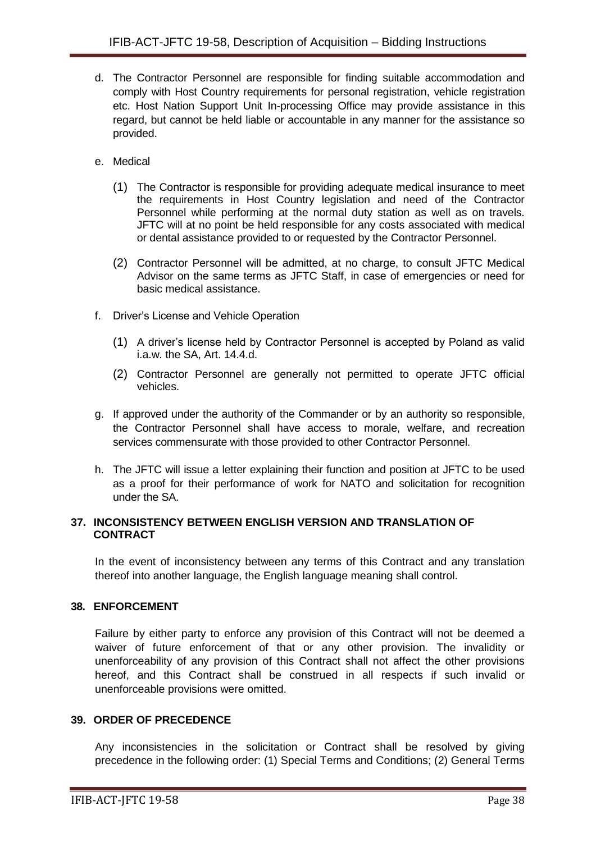- d. The Contractor Personnel are responsible for finding suitable accommodation and comply with Host Country requirements for personal registration, vehicle registration etc. Host Nation Support Unit In-processing Office may provide assistance in this regard, but cannot be held liable or accountable in any manner for the assistance so provided.
- e. Medical
	- (1) The Contractor is responsible for providing adequate medical insurance to meet the requirements in Host Country legislation and need of the Contractor Personnel while performing at the normal duty station as well as on travels. JFTC will at no point be held responsible for any costs associated with medical or dental assistance provided to or requested by the Contractor Personnel.
	- (2) Contractor Personnel will be admitted, at no charge, to consult JFTC Medical Advisor on the same terms as JFTC Staff, in case of emergencies or need for basic medical assistance.
- f. Driver's License and Vehicle Operation
	- (1) A driver's license held by Contractor Personnel is accepted by Poland as valid i.a.w. the SA, Art. 14.4.d.
	- (2) Contractor Personnel are generally not permitted to operate JFTC official vehicles.
- g. If approved under the authority of the Commander or by an authority so responsible, the Contractor Personnel shall have access to morale, welfare, and recreation services commensurate with those provided to other Contractor Personnel.
- h. The JFTC will issue a letter explaining their function and position at JFTC to be used as a proof for their performance of work for NATO and solicitation for recognition under the SA.

#### <span id="page-37-0"></span>**37. INCONSISTENCY BETWEEN ENGLISH VERSION AND TRANSLATION OF CONTRACT**

In the event of inconsistency between any terms of this Contract and any translation thereof into another language, the English language meaning shall control.

# <span id="page-37-1"></span>**38. ENFORCEMENT**

Failure by either party to enforce any provision of this Contract will not be deemed a waiver of future enforcement of that or any other provision. The invalidity or unenforceability of any provision of this Contract shall not affect the other provisions hereof, and this Contract shall be construed in all respects if such invalid or unenforceable provisions were omitted.

#### <span id="page-37-2"></span>**39. ORDER OF PRECEDENCE**

Any inconsistencies in the solicitation or Contract shall be resolved by giving precedence in the following order: (1) Special Terms and Conditions; (2) General Terms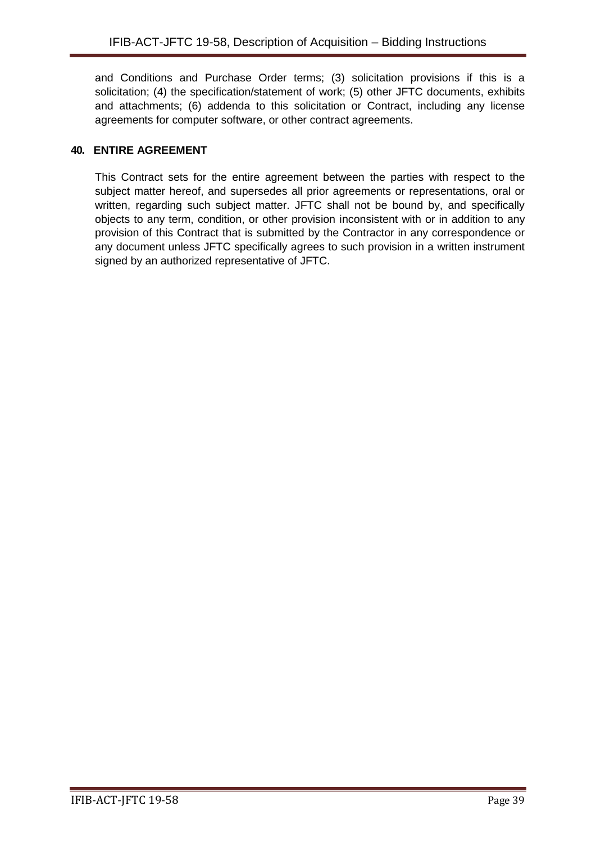and Conditions and Purchase Order terms; (3) solicitation provisions if this is a solicitation; (4) the specification/statement of work; (5) other JFTC documents, exhibits and attachments; (6) addenda to this solicitation or Contract, including any license agreements for computer software, or other contract agreements.

# <span id="page-38-0"></span>**40. ENTIRE AGREEMENT**

This Contract sets for the entire agreement between the parties with respect to the subject matter hereof, and supersedes all prior agreements or representations, oral or written, regarding such subject matter. JFTC shall not be bound by, and specifically objects to any term, condition, or other provision inconsistent with or in addition to any provision of this Contract that is submitted by the Contractor in any correspondence or any document unless JFTC specifically agrees to such provision in a written instrument signed by an authorized representative of JFTC.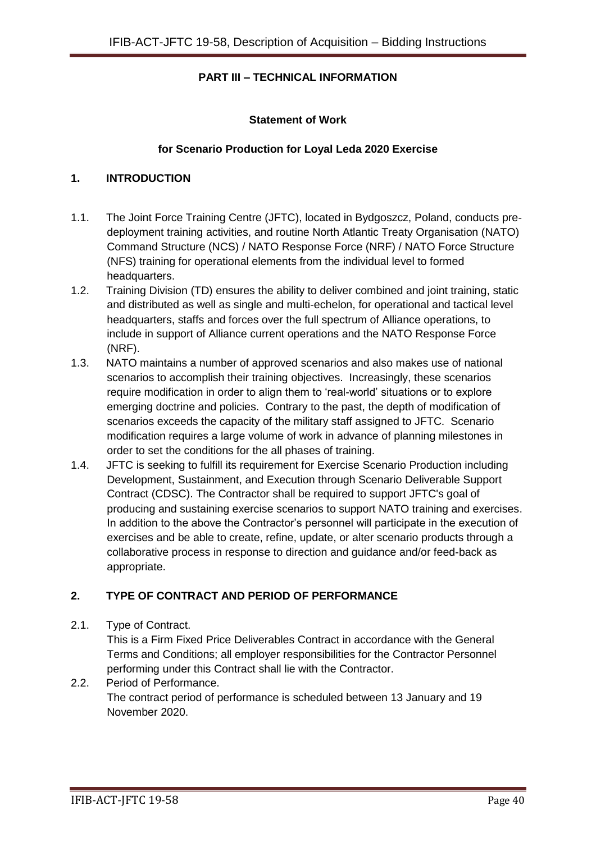# **PART III – TECHNICAL INFORMATION**

### **Statement of Work**

### **for Scenario Production for Loyal Leda 2020 Exercise**

#### **1. INTRODUCTION**

- 1.1. The Joint Force Training Centre (JFTC), located in Bydgoszcz, Poland, conducts predeployment training activities, and routine North Atlantic Treaty Organisation (NATO) Command Structure (NCS) / NATO Response Force (NRF) / NATO Force Structure (NFS) training for operational elements from the individual level to formed headquarters.
- 1.2. Training Division (TD) ensures the ability to deliver combined and joint training, static and distributed as well as single and multi-echelon, for operational and tactical level headquarters, staffs and forces over the full spectrum of Alliance operations, to include in support of Alliance current operations and the NATO Response Force (NRF).
- 1.3. NATO maintains a number of approved scenarios and also makes use of national scenarios to accomplish their training objectives. Increasingly, these scenarios require modification in order to align them to 'real-world' situations or to explore emerging doctrine and policies. Contrary to the past, the depth of modification of scenarios exceeds the capacity of the military staff assigned to JFTC. Scenario modification requires a large volume of work in advance of planning milestones in order to set the conditions for the all phases of training.
- 1.4. JFTC is seeking to fulfill its requirement for Exercise Scenario Production including Development, Sustainment, and Execution through Scenario Deliverable Support Contract (CDSC). The Contractor shall be required to support JFTC's goal of producing and sustaining exercise scenarios to support NATO training and exercises. In addition to the above the Contractor's personnel will participate in the execution of exercises and be able to create, refine, update, or alter scenario products through a collaborative process in response to direction and guidance and/or feed-back as appropriate.

# **2. TYPE OF CONTRACT AND PERIOD OF PERFORMANCE**

2.1. Type of Contract.

This is a Firm Fixed Price Deliverables Contract in accordance with the General Terms and Conditions; all employer responsibilities for the Contractor Personnel performing under this Contract shall lie with the Contractor.

2.2. Period of Performance. The contract period of performance is scheduled between 13 January and 19 November 2020.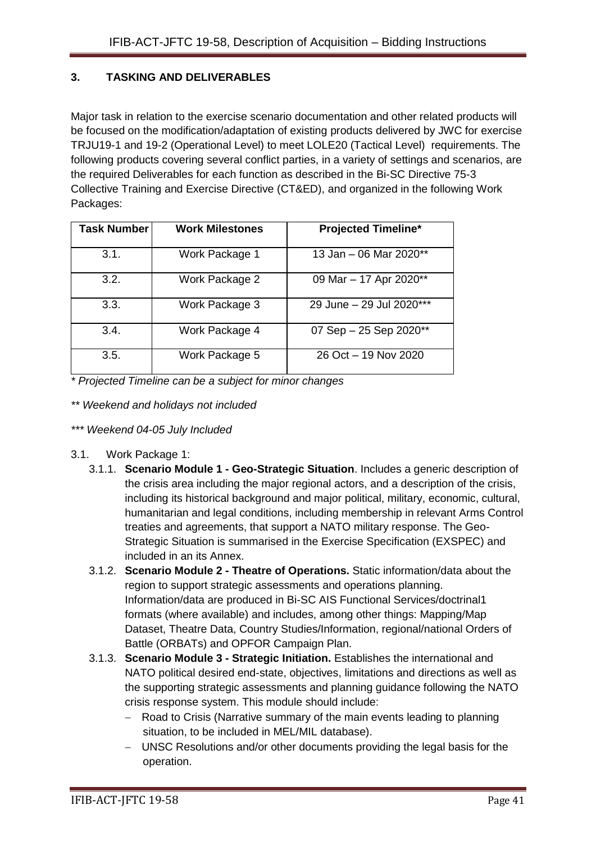# **3. TASKING AND DELIVERABLES**

Major task in relation to the exercise scenario documentation and other related products will be focused on the modification/adaptation of existing products delivered by JWC for exercise TRJU19-1 and 19-2 (Operational Level) to meet LOLE20 (Tactical Level) requirements. The following products covering several conflict parties, in a variety of settings and scenarios, are the required Deliverables for each function as described in the Bi-SC Directive 75-3 Collective Training and Exercise Directive (CT&ED), and organized in the following Work Packages:

| <b>Task Number</b> | <b>Work Milestones</b> | <b>Projected Timeline*</b> |
|--------------------|------------------------|----------------------------|
| 3.1.               | Work Package 1         | 13 Jan - 06 Mar 2020**     |
| 3.2.               | Work Package 2         | 09 Mar - 17 Apr 2020**     |
| 3.3.               | Work Package 3         | 29 June - 29 Jul 2020***   |
| 3.4.               | Work Package 4         | 07 Sep - 25 Sep 2020**     |
| 3.5.               | Work Package 5         | 26 Oct - 19 Nov 2020       |

*\* Projected Timeline can be a subject for minor changes*

- *\*\* Weekend and holidays not included*
- *\*\*\* Weekend 04-05 July Included*
- 3.1. Work Package 1:
	- 3.1.1. **Scenario Module 1 - Geo-Strategic Situation**. Includes a generic description of the crisis area including the major regional actors, and a description of the crisis, including its historical background and major political, military, economic, cultural, humanitarian and legal conditions, including membership in relevant Arms Control treaties and agreements, that support a NATO military response. The Geo-Strategic Situation is summarised in the Exercise Specification (EXSPEC) and included in an its Annex.
	- 3.1.2. **Scenario Module 2 - Theatre of Operations.** Static information/data about the region to support strategic assessments and operations planning. Information/data are produced in Bi-SC AIS Functional Services/doctrinal1 formats (where available) and includes, among other things: Mapping/Map Dataset, Theatre Data, Country Studies/Information, regional/national Orders of Battle (ORBATs) and OPFOR Campaign Plan.
	- 3.1.3. **Scenario Module 3 - Strategic Initiation.** Establishes the international and NATO political desired end-state, objectives, limitations and directions as well as the supporting strategic assessments and planning guidance following the NATO crisis response system. This module should include:
		- Road to Crisis (Narrative summary of the main events leading to planning situation, to be included in MEL/MIL database).
		- UNSC Resolutions and/or other documents providing the legal basis for the operation.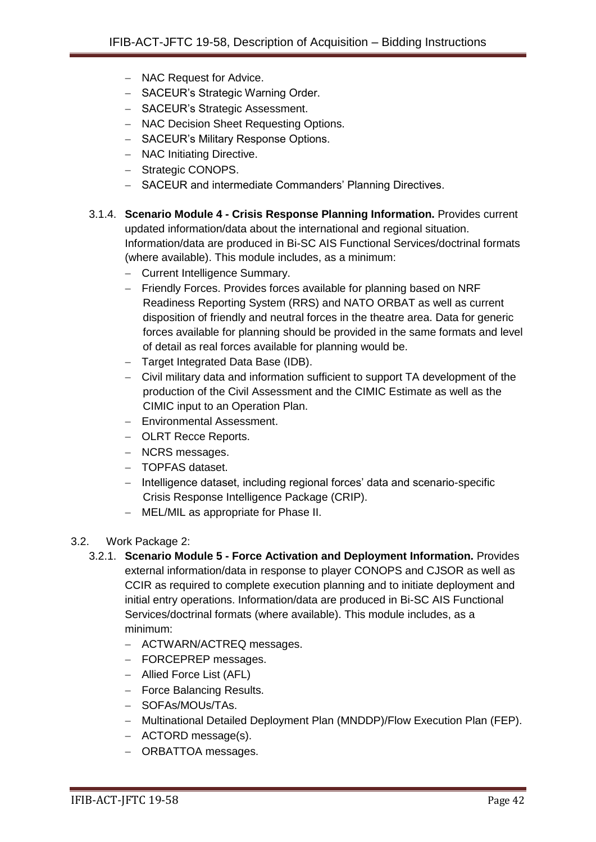- NAC Request for Advice.
- SACEUR's Strategic Warning Order.
- SACEUR's Strategic Assessment.
- NAC Decision Sheet Requesting Options.
- SACEUR's Military Response Options.
- NAC Initiating Directive.
- Strategic CONOPS.
- SACEUR and intermediate Commanders' Planning Directives.
- 3.1.4. **Scenario Module 4 - Crisis Response Planning Information.** Provides current updated information/data about the international and regional situation. Information/data are produced in Bi-SC AIS Functional Services/doctrinal formats (where available). This module includes, as a minimum:
	- Current Intelligence Summary.
	- Friendly Forces. Provides forces available for planning based on NRF Readiness Reporting System (RRS) and NATO ORBAT as well as current disposition of friendly and neutral forces in the theatre area. Data for generic forces available for planning should be provided in the same formats and level of detail as real forces available for planning would be.
	- Target Integrated Data Base (IDB).
	- Civil military data and information sufficient to support TA development of the production of the Civil Assessment and the CIMIC Estimate as well as the CIMIC input to an Operation Plan.
	- Environmental Assessment.
	- **OLRT Recce Reports.**
	- NCRS messages.
	- TOPFAS dataset.
	- Intelligence dataset, including regional forces' data and scenario-specific Crisis Response Intelligence Package (CRIP).
	- MEL/MIL as appropriate for Phase II.
- 3.2. Work Package 2:
	- 3.2.1. **Scenario Module 5 - Force Activation and Deployment Information.** Provides external information/data in response to player CONOPS and CJSOR as well as CCIR as required to complete execution planning and to initiate deployment and initial entry operations. Information/data are produced in Bi-SC AIS Functional Services/doctrinal formats (where available). This module includes, as a minimum:
		- ACTWARN/ACTREQ messages.
		- FORCEPREP messages.
		- Allied Force List (AFL)
		- Force Balancing Results.
		- SOFAs/MOUs/TAs.
		- Multinational Detailed Deployment Plan (MNDDP)/Flow Execution Plan (FEP).
		- ACTORD message(s).
		- ORBATTOA messages.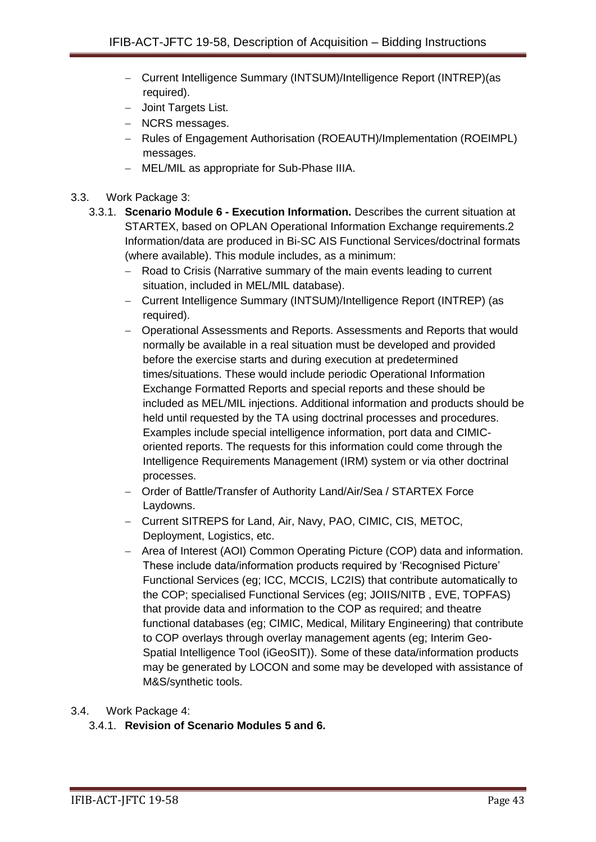- Current Intelligence Summary (INTSUM)/Intelligence Report (INTREP) (as required).
- Joint Targets List.
- NCRS messages.
- Rules of Engagement Authorisation (ROEAUTH)/Implementation (ROEIMPL) messages.
- MEL/MIL as appropriate for Sub-Phase IIIA.
- 3.3. Work Package 3:
	- 3.3.1. **Scenario Module 6 - Execution Information.** Describes the current situation at STARTEX, based on OPLAN Operational Information Exchange requirements.2 Information/data are produced in Bi-SC AIS Functional Services/doctrinal formats (where available). This module includes, as a minimum:
		- Road to Crisis (Narrative summary of the main events leading to current situation, included in MEL/MIL database).
		- Current Intelligence Summary (INTSUM)/Intelligence Report (INTREP) (as required).
		- Operational Assessments and Reports. Assessments and Reports that would normally be available in a real situation must be developed and provided before the exercise starts and during execution at predetermined times/situations. These would include periodic Operational Information Exchange Formatted Reports and special reports and these should be included as MEL/MIL injections. Additional information and products should be held until requested by the TA using doctrinal processes and procedures. Examples include special intelligence information, port data and CIMICoriented reports. The requests for this information could come through the Intelligence Requirements Management (IRM) system or via other doctrinal processes.
		- Order of Battle/Transfer of Authority Land/Air/Sea / STARTEX Force Laydowns.
		- Current SITREPS for Land, Air, Navy, PAO, CIMIC, CIS, METOC, Deployment, Logistics, etc.
		- Area of Interest (AOI) Common Operating Picture (COP) data and information. These include data/information products required by 'Recognised Picture' Functional Services (eg; ICC, MCCIS, LC2IS) that contribute automatically to the COP; specialised Functional Services (eg; JOIIS/NITB , EVE, TOPFAS) that provide data and information to the COP as required; and theatre functional databases (eg; CIMIC, Medical, Military Engineering) that contribute to COP overlays through overlay management agents (eg; Interim Geo-Spatial Intelligence Tool (iGeoSIT)). Some of these data/information products may be generated by LOCON and some may be developed with assistance of M&S/synthetic tools.

# 3.4. Work Package 4:

# 3.4.1. **Revision of Scenario Modules 5 and 6.**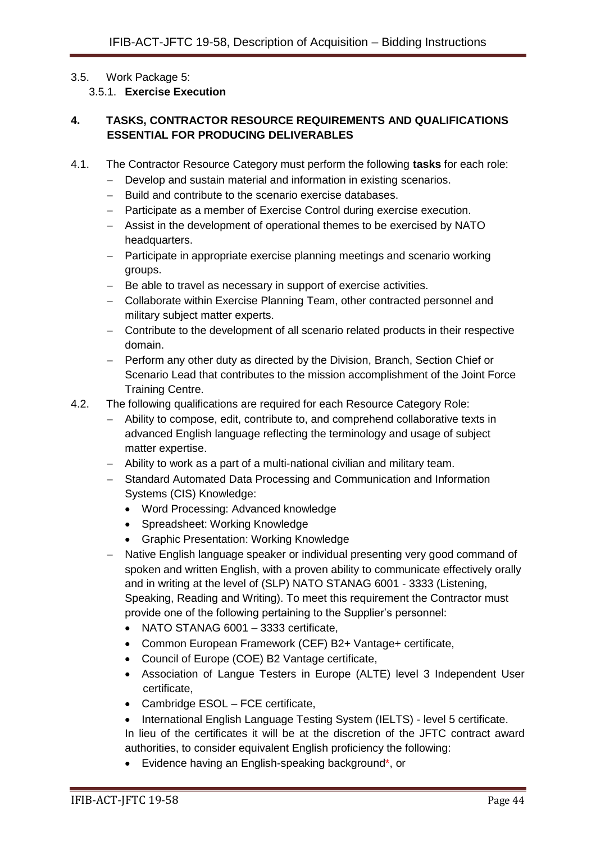#### 3.5. Work Package 5:

3.5.1. **Exercise Execution**

# **4. TASKS, CONTRACTOR RESOURCE REQUIREMENTS AND QUALIFICATIONS ESSENTIAL FOR PRODUCING DELIVERABLES**

- 4.1. The Contractor Resource Category must perform the following **tasks** for each role:
	- Develop and sustain material and information in existing scenarios.
	- Build and contribute to the scenario exercise databases.
	- Participate as a member of Exercise Control during exercise execution.
	- Assist in the development of operational themes to be exercised by NATO headquarters.
	- Participate in appropriate exercise planning meetings and scenario working groups.
	- Be able to travel as necessary in support of exercise activities.
	- Collaborate within Exercise Planning Team, other contracted personnel and military subject matter experts.
	- Contribute to the development of all scenario related products in their respective domain.
	- Perform any other duty as directed by the Division, Branch, Section Chief or Scenario Lead that contributes to the mission accomplishment of the Joint Force Training Centre.
- 4.2. The following qualifications are required for each Resource Category Role:
	- Ability to compose, edit, contribute to, and comprehend collaborative texts in advanced English language reflecting the terminology and usage of subject matter expertise.
	- Ability to work as a part of a multi-national civilian and military team.
	- Standard Automated Data Processing and Communication and Information Systems (CIS) Knowledge:
		- Word Processing: Advanced knowledge
		- Spreadsheet: Working Knowledge
		- Graphic Presentation: Working Knowledge
	- Native English language speaker or individual presenting very good command of spoken and written English, with a proven ability to communicate effectively orally and in writing at the level of (SLP) NATO STANAG 6001 - 3333 (Listening, Speaking, Reading and Writing). To meet this requirement the Contractor must provide one of the following pertaining to the Supplier's personnel:
		- NATO STANAG 6001 3333 certificate,
		- Common European Framework (CEF) B2+ Vantage+ certificate,
		- Council of Europe (COE) B2 Vantage certificate,
		- Association of Langue Testers in Europe (ALTE) level 3 Independent User certificate,
		- Cambridge ESOL FCE certificate,
		- International English Language Testing System (IELTS) level 5 certificate.

In lieu of the certificates it will be at the discretion of the JFTC contract award authorities, to consider equivalent English proficiency the following:

• Evidence having an English-speaking background\*, or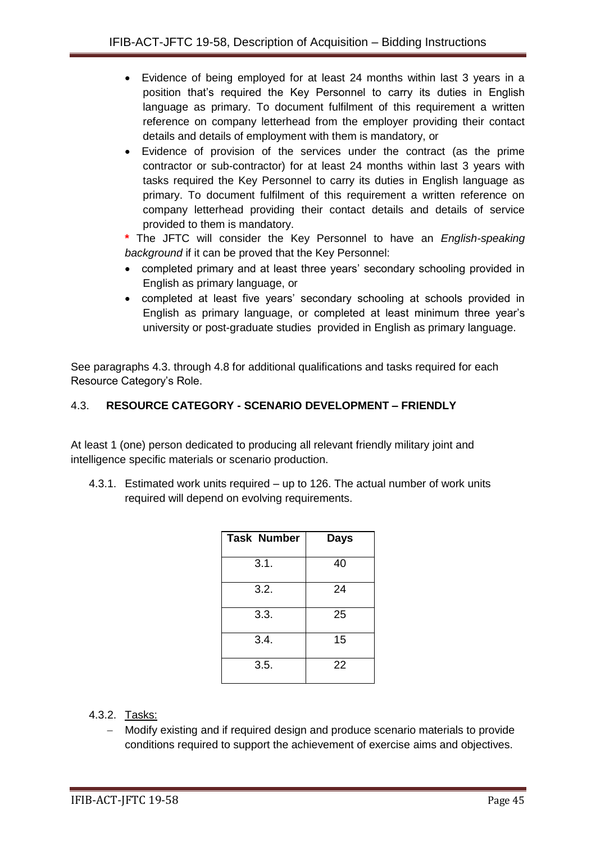- Evidence of being employed for at least 24 months within last 3 years in a position that's required the Key Personnel to carry its duties in English language as primary. To document fulfilment of this requirement a written reference on company letterhead from the employer providing their contact details and details of employment with them is mandatory, or
- Evidence of provision of the services under the contract (as the prime contractor or sub-contractor) for at least 24 months within last 3 years with tasks required the Key Personnel to carry its duties in English language as primary. To document fulfilment of this requirement a written reference on company letterhead providing their contact details and details of service provided to them is mandatory.
- **\*** The JFTC will consider the Key Personnel to have an *English-speaking background* if it can be proved that the Key Personnel:
- completed primary and at least three years' secondary schooling provided in English as primary language, or
- completed at least five years' secondary schooling at schools provided in English as primary language, or completed at least minimum three year's university or post-graduate studies provided in English as primary language.

See paragraphs 4.3. through 4.8 for additional qualifications and tasks required for each Resource Category's Role.

# 4.3. **RESOURCE CATEGORY - SCENARIO DEVELOPMENT – FRIENDLY**

At least 1 (one) person dedicated to producing all relevant friendly military joint and intelligence specific materials or scenario production.

4.3.1. Estimated work units required – up to 126. The actual number of work units required will depend on evolving requirements.

| <b>Task Number</b> | Days |
|--------------------|------|
| 3.1.               | 40   |
| 3.2.               | 24   |
| 3.3.               | 25   |
| 3.4.               | 15   |
| 3.5.               | 22   |

- 4.3.2. Tasks:
	- Modify existing and if required design and produce scenario materials to provide conditions required to support the achievement of exercise aims and objectives.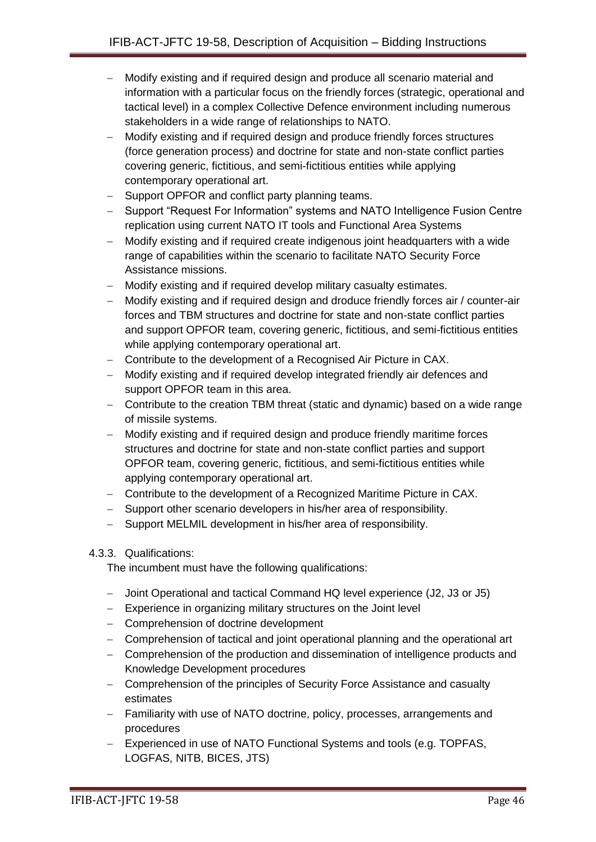- Modify existing and if required design and produce all scenario material and information with a particular focus on the friendly forces (strategic, operational and tactical level) in a complex Collective Defence environment including numerous stakeholders in a wide range of relationships to NATO.
- Modify existing and if required design and produce friendly forces structures (force generation process) and doctrine for state and non-state conflict parties covering generic, fictitious, and semi-fictitious entities while applying contemporary operational art.
- Support OPFOR and conflict party planning teams.
- Support "Request For Information" systems and NATO Intelligence Fusion Centre replication using current NATO IT tools and Functional Area Systems
- Modify existing and if required create indigenous joint headquarters with a wide range of capabilities within the scenario to facilitate NATO Security Force Assistance missions.
- Modify existing and if required develop military casualty estimates.
- Modify existing and if required design and droduce friendly forces air / counter-air forces and TBM structures and doctrine for state and non-state conflict parties and support OPFOR team, covering generic, fictitious, and semi-fictitious entities while applying contemporary operational art.
- Contribute to the development of a Recognised Air Picture in CAX.
- Modify existing and if required develop integrated friendly air defences and support OPFOR team in this area.
- Contribute to the creation TBM threat (static and dynamic) based on a wide range of missile systems.
- Modify existing and if required design and produce friendly maritime forces structures and doctrine for state and non-state conflict parties and support OPFOR team, covering generic, fictitious, and semi-fictitious entities while applying contemporary operational art.
- Contribute to the development of a Recognized Maritime Picture in CAX.
- Support other scenario developers in his/her area of responsibility.
- Support MELMIL development in his/her area of responsibility.

#### 4.3.3. Qualifications:

The incumbent must have the following qualifications:

- Joint Operational and tactical Command HQ level experience (J2, J3 or J5)
- Experience in organizing military structures on the Joint level
- Comprehension of doctrine development
- Comprehension of tactical and joint operational planning and the operational art
- Comprehension of the production and dissemination of intelligence products and Knowledge Development procedures
- Comprehension of the principles of Security Force Assistance and casualty estimates
- Familiarity with use of NATO doctrine, policy, processes, arrangements and procedures
- Experienced in use of NATO Functional Systems and tools (e.g. TOPFAS, LOGFAS, NITB, BICES, JTS)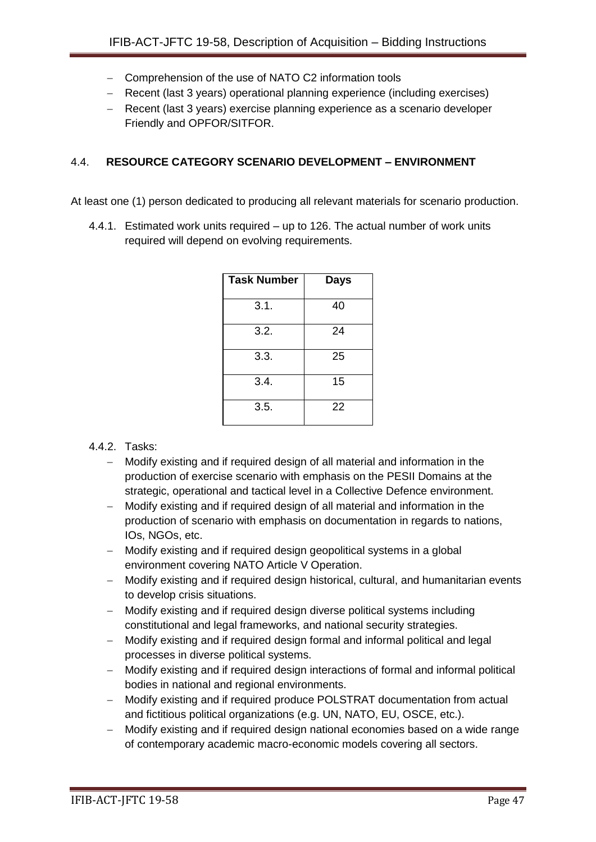- Comprehension of the use of NATO C2 information tools
- Recent (last 3 years) operational planning experience (including exercises)
- Recent (last 3 years) exercise planning experience as a scenario developer Friendly and OPFOR/SITFOR.

### 4.4. **RESOURCE CATEGORY SCENARIO DEVELOPMENT – ENVIRONMENT**

At least one (1) person dedicated to producing all relevant materials for scenario production.

4.4.1. Estimated work units required – up to 126. The actual number of work units required will depend on evolving requirements.

| <b>Task Number</b> | Days |
|--------------------|------|
| 3.1.               | 40   |
| 3.2.               | 24   |
| 3.3.               | 25   |
| 3.4.               | 15   |
| 3.5.               | 22   |

# 4.4.2. Tasks:

- Modify existing and if required design of all material and information in the production of exercise scenario with emphasis on the PESII Domains at the strategic, operational and tactical level in a Collective Defence environment.
- Modify existing and if required design of all material and information in the production of scenario with emphasis on documentation in regards to nations, IOs, NGOs, etc.
- Modify existing and if required design geopolitical systems in a global environment covering NATO Article V Operation.
- Modify existing and if required design historical, cultural, and humanitarian events to develop crisis situations.
- Modify existing and if required design diverse political systems including constitutional and legal frameworks, and national security strategies.
- Modify existing and if required design formal and informal political and legal processes in diverse political systems.
- Modify existing and if required design interactions of formal and informal political bodies in national and regional environments.
- Modify existing and if required produce POLSTRAT documentation from actual and fictitious political organizations (e.g. UN, NATO, EU, OSCE, etc.).
- Modify existing and if required design national economies based on a wide range of contemporary academic macro-economic models covering all sectors.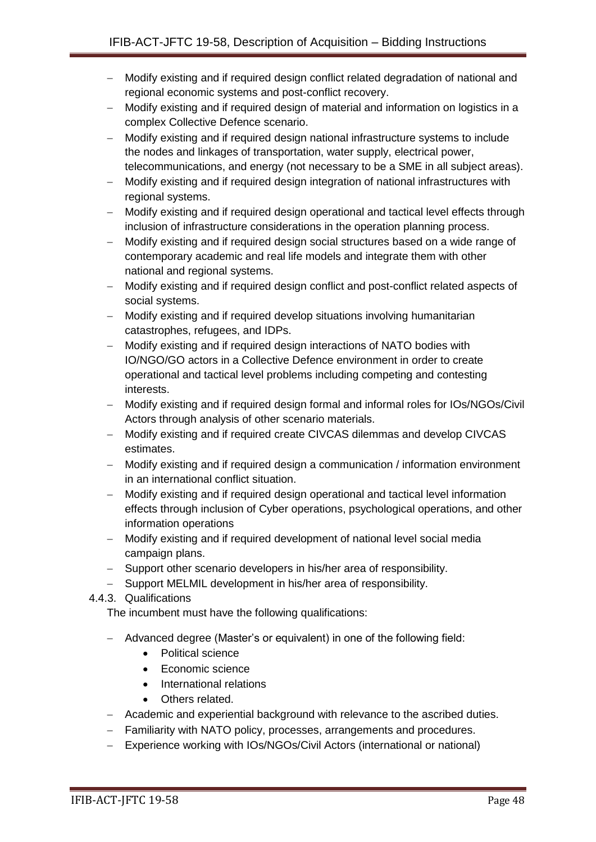- Modify existing and if required design conflict related degradation of national and regional economic systems and post-conflict recovery.
- Modify existing and if required design of material and information on logistics in a complex Collective Defence scenario.
- Modify existing and if required design national infrastructure systems to include the nodes and linkages of transportation, water supply, electrical power, telecommunications, and energy (not necessary to be a SME in all subject areas).
- Modify existing and if required design integration of national infrastructures with regional systems.
- Modify existing and if required design operational and tactical level effects through inclusion of infrastructure considerations in the operation planning process.
- Modify existing and if required design social structures based on a wide range of contemporary academic and real life models and integrate them with other national and regional systems.
- Modify existing and if required design conflict and post-conflict related aspects of social systems.
- Modify existing and if required develop situations involving humanitarian catastrophes, refugees, and IDPs.
- Modify existing and if required design interactions of NATO bodies with IO/NGO/GO actors in a Collective Defence environment in order to create operational and tactical level problems including competing and contesting interests.
- Modify existing and if required design formal and informal roles for IOs/NGOs/Civil Actors through analysis of other scenario materials.
- Modify existing and if required create CIVCAS dilemmas and develop CIVCAS estimates.
- Modify existing and if required design a communication / information environment in an international conflict situation.
- Modify existing and if required design operational and tactical level information effects through inclusion of Cyber operations, psychological operations, and other information operations
- Modify existing and if required development of national level social media campaign plans.
- Support other scenario developers in his/her area of responsibility.
- Support MELMIL development in his/her area of responsibility.
- 4.4.3. Qualifications

The incumbent must have the following qualifications:

- Advanced degree (Master's or equivalent) in one of the following field:
	- Political science
	- Economic science
	- International relations
	- Others related.
- Academic and experiential background with relevance to the ascribed duties.
- Familiarity with NATO policy, processes, arrangements and procedures.
- Experience working with IOs/NGOs/Civil Actors (international or national)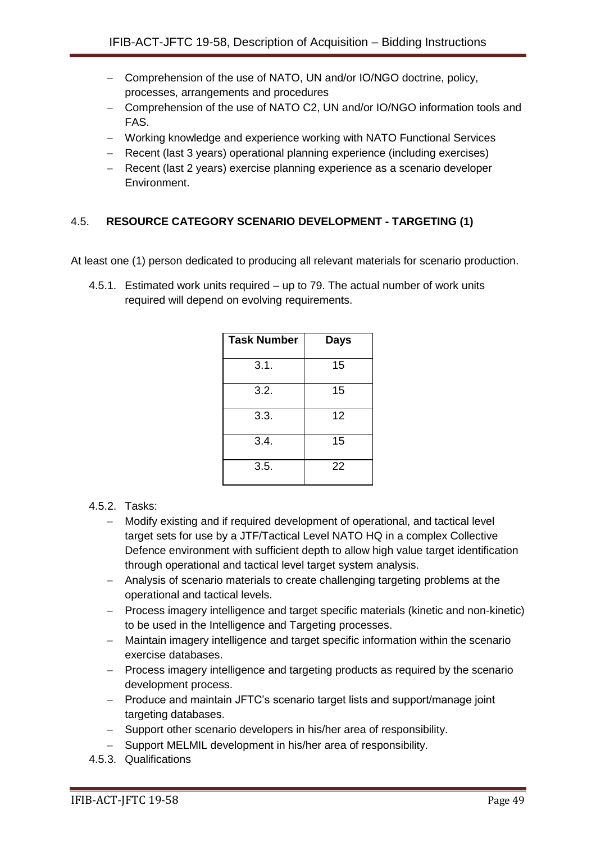- Comprehension of the use of NATO, UN and/or IO/NGO doctrine, policy, processes, arrangements and procedures
- Comprehension of the use of NATO C2, UN and/or IO/NGO information tools and FAS.
- Working knowledge and experience working with NATO Functional Services
- Recent (last 3 years) operational planning experience (including exercises)
- Recent (last 2 years) exercise planning experience as a scenario developer Environment.

# 4.5. **RESOURCE CATEGORY SCENARIO DEVELOPMENT - TARGETING (1)**

At least one (1) person dedicated to producing all relevant materials for scenario production.

4.5.1. Estimated work units required – up to 79. The actual number of work units required will depend on evolving requirements.

| Task Number | Days |
|-------------|------|
| 3.1.        | 15   |
| 3.2.        | 15   |
| 3.3.        | 12   |
| 3.4.        | 15   |
| 3.5.        | 22   |

# 4.5.2. Tasks:

- Modify existing and if required development of operational, and tactical level target sets for use by a JTF/Tactical Level NATO HQ in a complex Collective Defence environment with sufficient depth to allow high value target identification through operational and tactical level target system analysis.
- Analysis of scenario materials to create challenging targeting problems at the operational and tactical levels.
- Process imagery intelligence and target specific materials (kinetic and non-kinetic) to be used in the Intelligence and Targeting processes.
- Maintain imagery intelligence and target specific information within the scenario exercise databases.
- Process imagery intelligence and targeting products as required by the scenario development process.
- Produce and maintain JFTC's scenario target lists and support/manage joint targeting databases.
- Support other scenario developers in his/her area of responsibility.
- Support MELMIL development in his/her area of responsibility.
- 4.5.3. Qualifications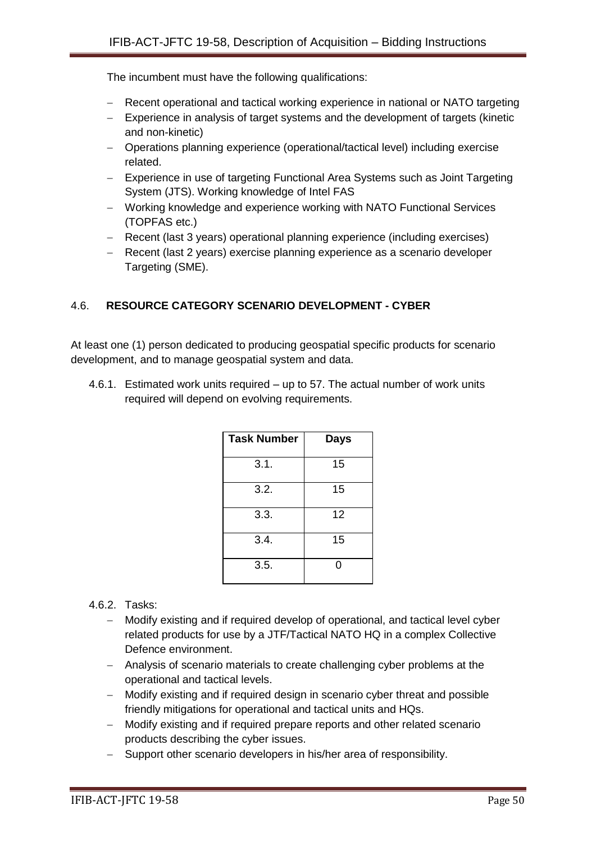The incumbent must have the following qualifications:

- Recent operational and tactical working experience in national or NATO targeting
- Experience in analysis of target systems and the development of targets (kinetic and non-kinetic)
- Operations planning experience (operational/tactical level) including exercise related.
- Experience in use of targeting Functional Area Systems such as Joint Targeting System (JTS). Working knowledge of Intel FAS
- Working knowledge and experience working with NATO Functional Services (TOPFAS etc.)
- Recent (last 3 years) operational planning experience (including exercises)
- Recent (last 2 years) exercise planning experience as a scenario developer Targeting (SME).

# 4.6. **RESOURCE CATEGORY SCENARIO DEVELOPMENT - CYBER**

At least one (1) person dedicated to producing geospatial specific products for scenario development, and to manage geospatial system and data.

4.6.1. Estimated work units required – up to 57. The actual number of work units required will depend on evolving requirements.

| <b>Task Number</b> | <b>Days</b> |
|--------------------|-------------|
| 3.1.               | 15          |
| 3.2.               | 15          |
| 3.3.               | 12          |
| 3.4.               | 15          |
| 3.5.               | O           |

#### 4.6.2. Tasks:

- Modify existing and if required develop of operational, and tactical level cyber related products for use by a JTF/Tactical NATO HQ in a complex Collective Defence environment.
- Analysis of scenario materials to create challenging cyber problems at the operational and tactical levels.
- Modify existing and if required design in scenario cyber threat and possible friendly mitigations for operational and tactical units and HQs.
- Modify existing and if required prepare reports and other related scenario products describing the cyber issues.
- Support other scenario developers in his/her area of responsibility.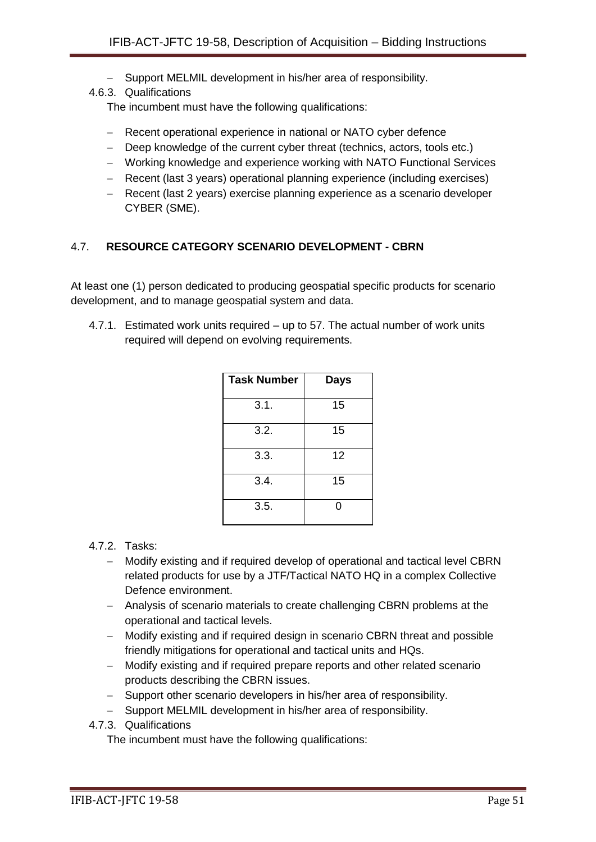- Support MELMIL development in his/her area of responsibility.
- 4.6.3. Qualifications

The incumbent must have the following qualifications:

- Recent operational experience in national or NATO cyber defence
- Deep knowledge of the current cyber threat (technics, actors, tools etc.)
- Working knowledge and experience working with NATO Functional Services
- Recent (last 3 years) operational planning experience (including exercises)
- Recent (last 2 years) exercise planning experience as a scenario developer CYBER (SME).

### 4.7. **RESOURCE CATEGORY SCENARIO DEVELOPMENT - CBRN**

At least one (1) person dedicated to producing geospatial specific products for scenario development, and to manage geospatial system and data.

4.7.1. Estimated work units required – up to 57. The actual number of work units required will depend on evolving requirements.

| <b>Task Number</b> | <b>Days</b> |
|--------------------|-------------|
| 3.1.               | 15          |
| 3.2.               | 15          |
| 3.3.               | 12          |
| 3.4.               | 15          |
| 3.5.               | ი           |

# 4.7.2. Tasks:

- Modify existing and if required develop of operational and tactical level CBRN related products for use by a JTF/Tactical NATO HQ in a complex Collective Defence environment.
- Analysis of scenario materials to create challenging CBRN problems at the operational and tactical levels.
- Modify existing and if required design in scenario CBRN threat and possible friendly mitigations for operational and tactical units and HQs.
- Modify existing and if required prepare reports and other related scenario products describing the CBRN issues.
- Support other scenario developers in his/her area of responsibility.
- Support MELMIL development in his/her area of responsibility.
- 4.7.3. Qualifications

The incumbent must have the following qualifications: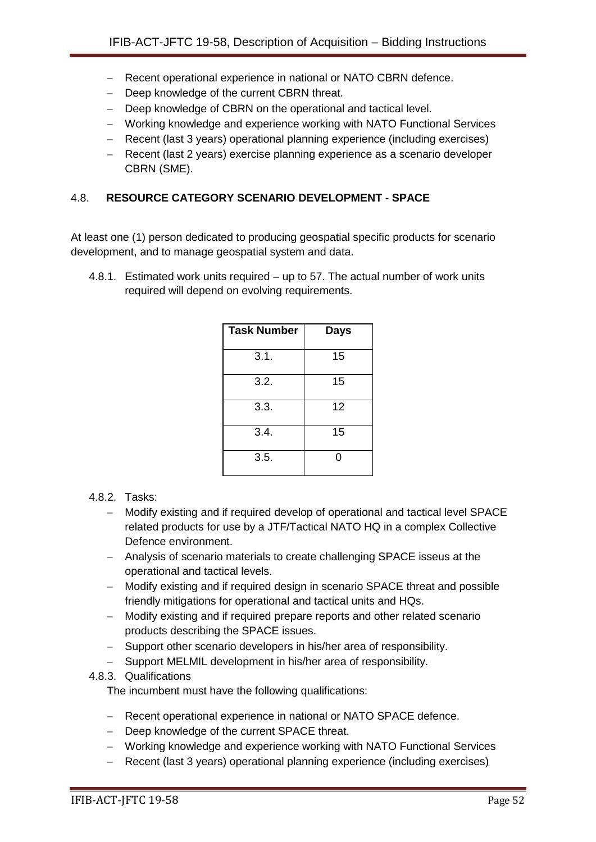- Recent operational experience in national or NATO CBRN defence.
- Deep knowledge of the current CBRN threat.
- Deep knowledge of CBRN on the operational and tactical level.
- Working knowledge and experience working with NATO Functional Services
- Recent (last 3 years) operational planning experience (including exercises)
- Recent (last 2 years) exercise planning experience as a scenario developer CBRN (SME).

### 4.8. **RESOURCE CATEGORY SCENARIO DEVELOPMENT - SPACE**

At least one (1) person dedicated to producing geospatial specific products for scenario development, and to manage geospatial system and data.

4.8.1. Estimated work units required – up to 57. The actual number of work units required will depend on evolving requirements.

| <b>Task Number</b> | <b>Days</b> |
|--------------------|-------------|
| 3.1.               | 15          |
| 3.2.               | 15          |
| 3.3.               | 12          |
| 3.4.               | 15          |
| 3.5.               | 0           |

#### 4.8.2. Tasks:

- Modify existing and if required develop of operational and tactical level SPACE related products for use by a JTF/Tactical NATO HQ in a complex Collective Defence environment.
- Analysis of scenario materials to create challenging SPACE isseus at the operational and tactical levels.
- Modify existing and if required design in scenario SPACE threat and possible friendly mitigations for operational and tactical units and HQs.
- Modify existing and if required prepare reports and other related scenario products describing the SPACE issues.
- Support other scenario developers in his/her area of responsibility.
- Support MELMIL development in his/her area of responsibility.
- 4.8.3. Qualifications

The incumbent must have the following qualifications:

- Recent operational experience in national or NATO SPACE defence.
- Deep knowledge of the current SPACE threat.
- Working knowledge and experience working with NATO Functional Services
- Recent (last 3 years) operational planning experience (including exercises)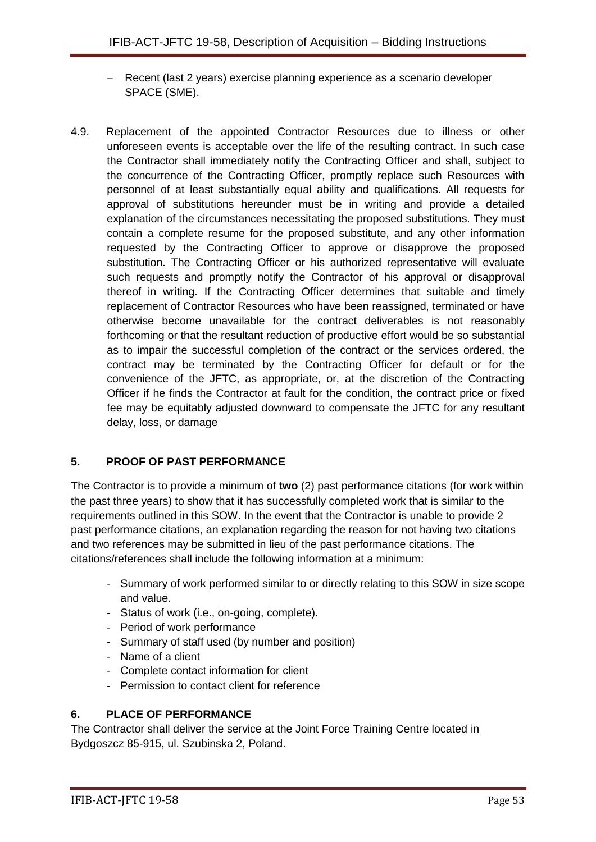- Recent (last 2 years) exercise planning experience as a scenario developer SPACE (SME).
- 4.9. Replacement of the appointed Contractor Resources due to illness or other unforeseen events is acceptable over the life of the resulting contract. In such case the Contractor shall immediately notify the Contracting Officer and shall, subject to the concurrence of the Contracting Officer, promptly replace such Resources with personnel of at least substantially equal ability and qualifications. All requests for approval of substitutions hereunder must be in writing and provide a detailed explanation of the circumstances necessitating the proposed substitutions. They must contain a complete resume for the proposed substitute, and any other information requested by the Contracting Officer to approve or disapprove the proposed substitution. The Contracting Officer or his authorized representative will evaluate such requests and promptly notify the Contractor of his approval or disapproval thereof in writing. If the Contracting Officer determines that suitable and timely replacement of Contractor Resources who have been reassigned, terminated or have otherwise become unavailable for the contract deliverables is not reasonably forthcoming or that the resultant reduction of productive effort would be so substantial as to impair the successful completion of the contract or the services ordered, the contract may be terminated by the Contracting Officer for default or for the convenience of the JFTC, as appropriate, or, at the discretion of the Contracting Officer if he finds the Contractor at fault for the condition, the contract price or fixed fee may be equitably adjusted downward to compensate the JFTC for any resultant delay, loss, or damage

# **5. PROOF OF PAST PERFORMANCE**

The Contractor is to provide a minimum of **two** (2) past performance citations (for work within the past three years) to show that it has successfully completed work that is similar to the requirements outlined in this SOW. In the event that the Contractor is unable to provide 2 past performance citations, an explanation regarding the reason for not having two citations and two references may be submitted in lieu of the past performance citations. The citations/references shall include the following information at a minimum:

- Summary of work performed similar to or directly relating to this SOW in size scope and value.
- Status of work (i.e., on-going, complete).
- Period of work performance
- Summary of staff used (by number and position)
- Name of a client
- Complete contact information for client
- Permission to contact client for reference

# **6. PLACE OF PERFORMANCE**

The Contractor shall deliver the service at the Joint Force Training Centre located in Bydgoszcz 85-915, ul. Szubinska 2, Poland.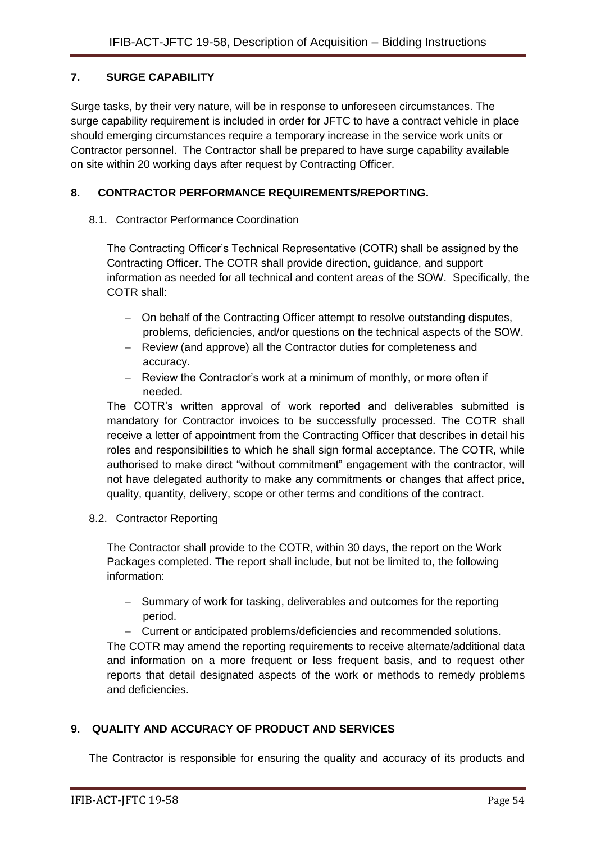# **7. SURGE CAPABILITY**

Surge tasks, by their very nature, will be in response to unforeseen circumstances. The surge capability requirement is included in order for JFTC to have a contract vehicle in place should emerging circumstances require a temporary increase in the service work units or Contractor personnel. The Contractor shall be prepared to have surge capability available on site within 20 working days after request by Contracting Officer.

# **8. CONTRACTOR PERFORMANCE REQUIREMENTS/REPORTING.**

# 8.1. Contractor Performance Coordination

The Contracting Officer's Technical Representative (COTR) shall be assigned by the Contracting Officer. The COTR shall provide direction, guidance, and support information as needed for all technical and content areas of the SOW. Specifically, the COTR shall:

- On behalf of the Contracting Officer attempt to resolve outstanding disputes, problems, deficiencies, and/or questions on the technical aspects of the SOW.
- Review (and approve) all the Contractor duties for completeness and accuracy.
- Review the Contractor's work at a minimum of monthly, or more often if needed.

The COTR's written approval of work reported and deliverables submitted is mandatory for Contractor invoices to be successfully processed. The COTR shall receive a letter of appointment from the Contracting Officer that describes in detail his roles and responsibilities to which he shall sign formal acceptance. The COTR, while authorised to make direct "without commitment" engagement with the contractor, will not have delegated authority to make any commitments or changes that affect price, quality, quantity, delivery, scope or other terms and conditions of the contract.

8.2. Contractor Reporting

The Contractor shall provide to the COTR, within 30 days, the report on the Work Packages completed. The report shall include, but not be limited to, the following information:

- Summary of work for tasking, deliverables and outcomes for the reporting period.
- Current or anticipated problems/deficiencies and recommended solutions.

The COTR may amend the reporting requirements to receive alternate/additional data and information on a more frequent or less frequent basis, and to request other reports that detail designated aspects of the work or methods to remedy problems and deficiencies.

# **9. QUALITY AND ACCURACY OF PRODUCT AND SERVICES**

The Contractor is responsible for ensuring the quality and accuracy of its products and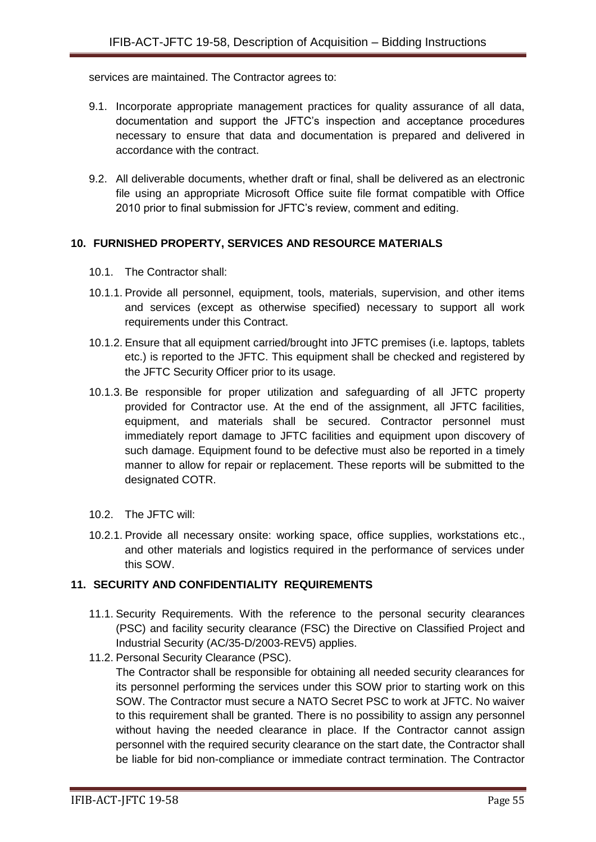services are maintained. The Contractor agrees to:

- 9.1. Incorporate appropriate management practices for quality assurance of all data, documentation and support the JFTC's inspection and acceptance procedures necessary to ensure that data and documentation is prepared and delivered in accordance with the contract.
- 9.2. All deliverable documents, whether draft or final, shall be delivered as an electronic file using an appropriate Microsoft Office suite file format compatible with Office 2010 prior to final submission for JFTC's review, comment and editing.

# **10. FURNISHED PROPERTY, SERVICES AND RESOURCE MATERIALS**

- 10.1. The Contractor shall:
- 10.1.1. Provide all personnel, equipment, tools, materials, supervision, and other items and services (except as otherwise specified) necessary to support all work requirements under this Contract.
- 10.1.2. Ensure that all equipment carried/brought into JFTC premises (i.e. laptops, tablets etc.) is reported to the JFTC. This equipment shall be checked and registered by the JFTC Security Officer prior to its usage.
- 10.1.3. Be responsible for proper utilization and safeguarding of all JFTC property provided for Contractor use. At the end of the assignment, all JFTC facilities, equipment, and materials shall be secured. Contractor personnel must immediately report damage to JFTC facilities and equipment upon discovery of such damage. Equipment found to be defective must also be reported in a timely manner to allow for repair or replacement. These reports will be submitted to the designated COTR.
- 10.2. The JFTC will:
- 10.2.1. Provide all necessary onsite: working space, office supplies, workstations etc., and other materials and logistics required in the performance of services under this SOW.

# **11. SECURITY AND CONFIDENTIALITY REQUIREMENTS**

- 11.1. Security Requirements. With the reference to the personal security clearances (PSC) and facility security clearance (FSC) the Directive on Classified Project and Industrial Security (AC/35-D/2003-REV5) applies.
- 11.2. Personal Security Clearance (PSC).

The Contractor shall be responsible for obtaining all needed security clearances for its personnel performing the services under this SOW prior to starting work on this SOW. The Contractor must secure a NATO Secret PSC to work at JFTC. No waiver to this requirement shall be granted. There is no possibility to assign any personnel without having the needed clearance in place. If the Contractor cannot assign personnel with the required security clearance on the start date, the Contractor shall be liable for bid non-compliance or immediate contract termination. The Contractor